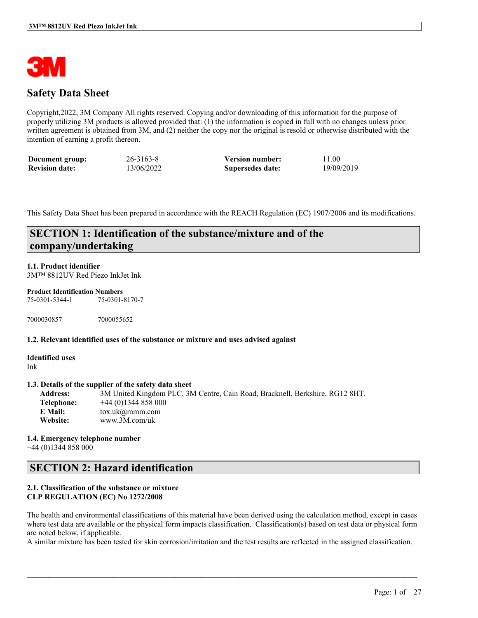

# **Safety Data Sheet**

Copyright,2022, 3M Company All rights reserved. Copying and/or downloading of this information for the purpose of properly utilizing 3M products is allowed provided that: (1) the information is copied in full with no changes unless prior written agreement is obtained from 3M, and (2) neither the copy nor the original is resold or otherwise distributed with the intention of earning a profit thereon.

| Document group:       | $26 - 3163 - 8$ | <b>Version number:</b> | 11.00      |
|-----------------------|-----------------|------------------------|------------|
| <b>Revision date:</b> | 13/06/2022      | Supersedes date:       | 19/09/2019 |

This Safety Data Sheet has been prepared in accordance with the REACH Regulation (EC) 1907/2006 and its modifications.

# **SECTION 1: Identification of the substance/mixture and of the company/undertaking**

### **1.1. Product identifier**

3M™ 8812UV Red Piezo InkJet Ink

#### **Product Identification Numbers**

75-0301-5344-1 75-0301-8170-7

7000030857 7000055652

#### **1.2. Relevant identified uses of the substance or mixture and uses advised against**

**Identified uses** Ink

#### **1.3. Details of the supplier of the safety data sheet**

**Address:** 3M United Kingdom PLC, 3M Centre, Cain Road, Bracknell, Berkshire, RG12 8HT. **Telephone:** +44 (0)1344 858 000 **E Mail:** tox.uk@mmm.com **Website:** www.3M.com/uk

**1.4. Emergency telephone number** +44 (0)1344 858 000

## **SECTION 2: Hazard identification**

### **2.1. Classification of the substance or mixture CLP REGULATION (EC) No 1272/2008**

The health and environmental classifications of this material have been derived using the calculation method, except in cases where test data are available or the physical form impacts classification. Classification(s) based on test data or physical form are noted below, if applicable.

A similar mixture has been tested for skin corrosion/irritation and the test results are reflected in the assigned classification.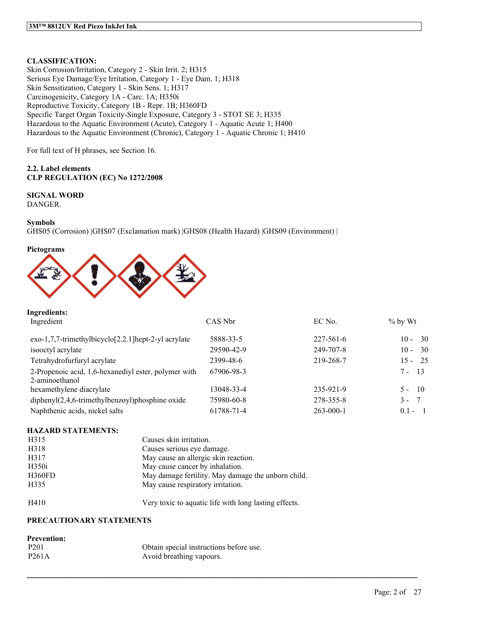## **CLASSIFICATION:**

Skin Corrosion/Irritation, Category 2 - Skin Irrit. 2; H315 Serious Eye Damage/Eye Irritation, Category 1 - Eye Dam. 1; H318 Skin Sensitization, Category 1 - Skin Sens. 1; H317 Carcinogenicity, Category 1A - Carc. 1A; H350i Reproductive Toxicity, Category 1B - Repr. 1B; H360FD Specific Target Organ Toxicity-Single Exposure, Category 3 - STOT SE 3; H335 Hazardous to the Aquatic Environment (Acute), Category 1 - Aquatic Acute 1; H400 Hazardous to the Aquatic Environment (Chronic), Category 1 - Aquatic Chronic 1; H410

For full text of H phrases, see Section 16.

## **2.2. Label elements CLP REGULATION (EC) No 1272/2008**

## **SIGNAL WORD**

DANGER.

### **Symbols**

GHS05 (Corrosion) |GHS07 (Exclamation mark) |GHS08 (Health Hazard) |GHS09 (Environment) |

### **Pictograms**

**Ingredients:**



| Ingredient                                                             | CAS Nbr    | EC No.          | $%$ by Wt      |
|------------------------------------------------------------------------|------------|-----------------|----------------|
| $exo-1,7,7-$ trimethylbicyclo $[2.2.1]$ hept-2-yl acrylate             | 5888-33-5  | $227 - 561 - 6$ | - 30<br>$10 -$ |
| isooctyl acrylate                                                      | 29590-42-9 | 249-707-8       | - 30<br>$10 -$ |
| Tetrahydrofurfuryl acrylate                                            | 2399-48-6  | 219-268-7       | $15 - 25$      |
| 2-Propenoic acid, 1,6-hexanediyl ester, polymer with<br>2-aminoethanol | 67906-98-3 |                 | $7 - 13$       |
| hexamethylene diacrylate                                               | 13048-33-4 | 235-921-9       | $5 - 10$       |
| $diphenyl(2,4,6-trimethylbenzoyl)phosphine oxide$                      | 75980-60-8 | 278-355-8       | $3 -$<br>- 7   |
| Naphthenic acids, nickel salts                                         | 61788-71-4 | $263 - 000 - 1$ | $0.1 - 1$      |

 $\mathcal{L}_\mathcal{L} = \mathcal{L}_\mathcal{L} = \mathcal{L}_\mathcal{L} = \mathcal{L}_\mathcal{L} = \mathcal{L}_\mathcal{L} = \mathcal{L}_\mathcal{L} = \mathcal{L}_\mathcal{L} = \mathcal{L}_\mathcal{L} = \mathcal{L}_\mathcal{L} = \mathcal{L}_\mathcal{L} = \mathcal{L}_\mathcal{L} = \mathcal{L}_\mathcal{L} = \mathcal{L}_\mathcal{L} = \mathcal{L}_\mathcal{L} = \mathcal{L}_\mathcal{L} = \mathcal{L}_\mathcal{L} = \mathcal{L}_\mathcal{L}$ 

#### **HAZARD STATEMENTS:**

| H315              | Causes skin irritation.                               |
|-------------------|-------------------------------------------------------|
| H318              | Causes serious eye damage.                            |
| H317              | May cause an allergic skin reaction.                  |
| H <sub>350i</sub> | May cause cancer by inhalation.                       |
| H360FD            | May damage fertility. May damage the unborn child.    |
| H335              | May cause respiratory irritation.                     |
| H410              | Very toxic to aquatic life with long lasting effects. |

## **PRECAUTIONARY STATEMENTS**

## **Prevention:**

| ------------       |                                         |
|--------------------|-----------------------------------------|
| P <sub>201</sub>   | Obtain special instructions before use. |
| P <sub>261</sub> A | Avoid breathing vapours.                |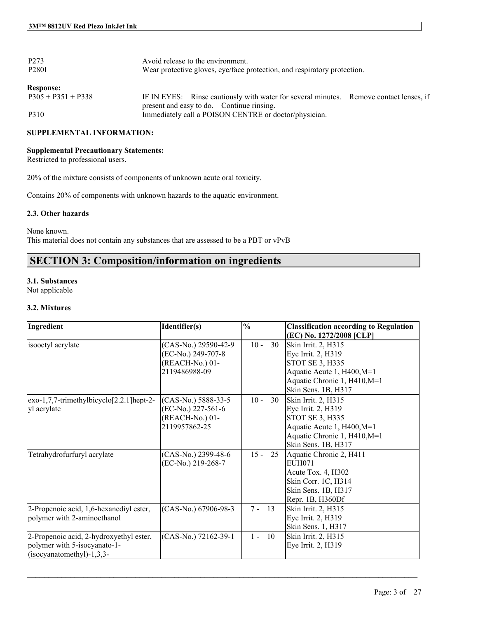| P <sub>273</sub><br><b>P280I</b>         | Avoid release to the environment.<br>Wear protective gloves, eye/face protection, and respiratory protection. |
|------------------------------------------|---------------------------------------------------------------------------------------------------------------|
| <b>Response:</b><br>$P305 + P351 + P338$ | IF IN EYES: Rinse cautiously with water for several minutes. Remove contact lenses, if                        |
| P310                                     | present and easy to do. Continue rinsing.<br>Immediately call a POISON CENTRE or doctor/physician.            |

## **SUPPLEMENTAL INFORMATION:**

### **Supplemental Precautionary Statements:**

Restricted to professional users.

20% of the mixture consists of components of unknown acute oral toxicity.

Contains 20% of components with unknown hazards to the aquatic environment.

#### **2.3. Other hazards**

None known. This material does not contain any substances that are assessed to be a PBT or vPvB

## **SECTION 3: Composition/information on ingredients**

### **3.1. Substances**

Not applicable

### **3.2. Mixtures**

| Ingredient                                                                                             | Identifier(s)                                                                  | $\frac{0}{0}$ | <b>Classification according to Regulation</b><br>(EC) No. 1272/2008 [CLP]                                                                         |
|--------------------------------------------------------------------------------------------------------|--------------------------------------------------------------------------------|---------------|---------------------------------------------------------------------------------------------------------------------------------------------------|
| isooctyl acrylate                                                                                      | (CAS-No.) 29590-42-9<br>(EC-No.) 249-707-8<br>(REACH-No.) 01-<br>2119486988-09 | $10 -$<br>30  | Skin Irrit. 2, H315<br>Eye Irrit. 2, H319<br>STOT SE 3, H335<br>Aquatic Acute 1, H400, M=1<br>Aquatic Chronic 1, H410, M=1<br>Skin Sens. 1B, H317 |
| $exo-1,7,7-$ trimethylbicyclo $[2.2.1]$ hept-2-<br>yl acrylate                                         | (CAS-No.) 5888-33-5<br>(EC-No.) 227-561-6<br>(REACH-No.) 01-<br>2119957862-25  | $10 -$<br>30  | Skin Irrit. 2, H315<br>Eye Irrit. 2, H319<br>STOT SE 3, H335<br>Aquatic Acute 1, H400, M=1<br>Aquatic Chronic 1, H410, M=1<br>Skin Sens. 1B, H317 |
| Tetrahydrofurfuryl acrylate                                                                            | (CAS-No.) 2399-48-6<br>(EC-No.) 219-268-7                                      | $15 -$<br>25  | Aquatic Chronic 2, H411<br><b>EUH071</b><br>Acute Tox. 4, H302<br>Skin Corr. 1C, H314<br>Skin Sens. 1B, H317<br>Repr. 1B, H360Df                  |
| 2-Propenoic acid, 1,6-hexanediyl ester,<br>polymer with 2-aminoethanol                                 | (CAS-No.) 67906-98-3                                                           | 13<br>$7 -$   | Skin Irrit. 2, H315<br>Eye Irrit. 2, H319<br>Skin Sens. 1, H317                                                                                   |
| 2-Propenoic acid, 2-hydroxyethyl ester,<br>polymer with 5-isocyanato-1-<br>$(isocyanatomethyl)-1,3,3-$ | (CAS-No.) 72162-39-1                                                           | 10<br>$1 -$   | Skin Irrit. 2, H315<br>Eye Irrit. 2, H319                                                                                                         |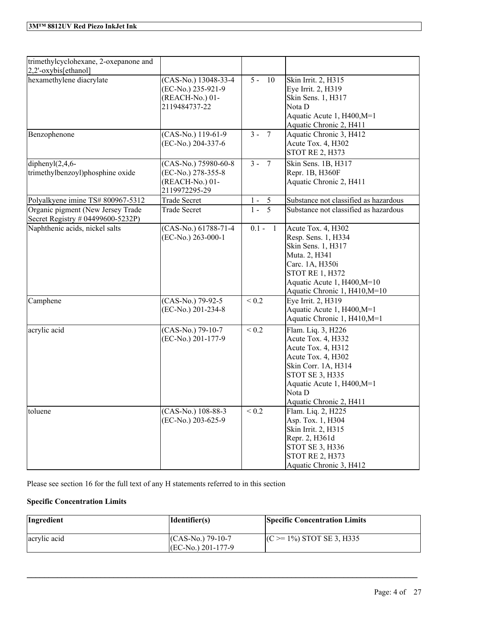| trimethylcyclohexane, 2-oxepanone and<br>2,2'-oxybis[ethanol]          |                                                                                |                  |                                                                                                                                                                                                   |
|------------------------------------------------------------------------|--------------------------------------------------------------------------------|------------------|---------------------------------------------------------------------------------------------------------------------------------------------------------------------------------------------------|
| hexamethylene diacrylate                                               | (CAS-No.) 13048-33-4<br>(EC-No.) 235-921-9<br>(REACH-No.) 01-<br>2119484737-22 | $\frac{1}{5-10}$ | Skin Irrit. 2, H315<br>Eye Irrit. 2, H319<br>Skin Sens. 1, H317<br>Nota D<br>Aquatic Acute 1, H400, M=1<br>Aquatic Chronic 2, H411                                                                |
| Benzophenone                                                           | (CAS-No.) 119-61-9<br>(EC-No.) 204-337-6                                       | $3 - 7$          | Aquatic Chronic 3, H412<br>Acute Tox. 4, H302<br><b>STOT RE 2, H373</b>                                                                                                                           |
| diphenyl $(2,4,6-$<br>trimethylbenzoyl)phosphine oxide                 | (CAS-No.) 75980-60-8<br>(EC-No.) 278-355-8<br>(REACH-No.) 01-<br>2119972295-29 | $3 - 7$          | Skin Sens. 1B, H317<br>Repr. 1B, H360F<br>Aquatic Chronic 2, H411                                                                                                                                 |
| Polyalkyene imine TS# 800967-5312                                      | <b>Trade Secret</b>                                                            | $1 - 5$          | Substance not classified as hazardous                                                                                                                                                             |
| Organic pigment (New Jersey Trade<br>Secret Registry # 04499600-5232P) | <b>Trade Secret</b>                                                            | $1 - 5$          | Substance not classified as hazardous                                                                                                                                                             |
| Naphthenic acids, nickel salts                                         | (CAS-No.) 61788-71-4<br>(EC-No.) 263-000-1                                     | $0.1 - 1$        | Acute Tox. 4, H302<br>Resp. Sens. 1, H334<br>Skin Sens. 1, H317<br>Muta. 2, H341<br>Carc. 1A, H350i<br><b>STOT RE 1, H372</b><br>Aquatic Acute 1, H400, M=10<br>Aquatic Chronic 1, H410, M=10     |
| Camphene                                                               | (CAS-No.) 79-92-5<br>(EC-No.) 201-234-8                                        | ${}_{0.2}$       | Eye Irrit. 2, H319<br>Aquatic Acute 1, H400, M=1<br>Aquatic Chronic 1, H410, M=1                                                                                                                  |
| acrylic acid                                                           | (CAS-No.) 79-10-7<br>(EC-No.) 201-177-9                                        | ${}_{0.2}$       | Flam. Liq. 3, H226<br>Acute Tox. 4, H332<br>Acute Tox. 4, H312<br>Acute Tox. 4, H302<br>Skin Corr. 1A, H314<br>STOT SE 3, H335<br>Aquatic Acute 1, H400, M=1<br>Nota D<br>Aquatic Chronic 2, H411 |
| toluene                                                                | (CAS-No.) 108-88-3<br>(EC-No.) 203-625-9                                       | $< 0.2$          | Flam. Liq. 2, H225<br>Asp. Tox. 1, H304<br>Skin Irrit. 2, H315<br>Repr. 2, H361d<br>STOT SE 3, H336<br><b>STOT RE 2, H373</b><br>Aquatic Chronic 3, H412                                          |

Please see section 16 for the full text of any H statements referred to in this section

## **Specific Concentration Limits**

| Ingredient   | Identifier(s)                                | <b>Specific Concentration Limits</b> |
|--------------|----------------------------------------------|--------------------------------------|
| acrylic acid | $(CAS-No.)$ 79-10-7<br>$[EC-N0$ .) 201-177-9 | $(C \ge 1\%)$ STOT SE 3, H335        |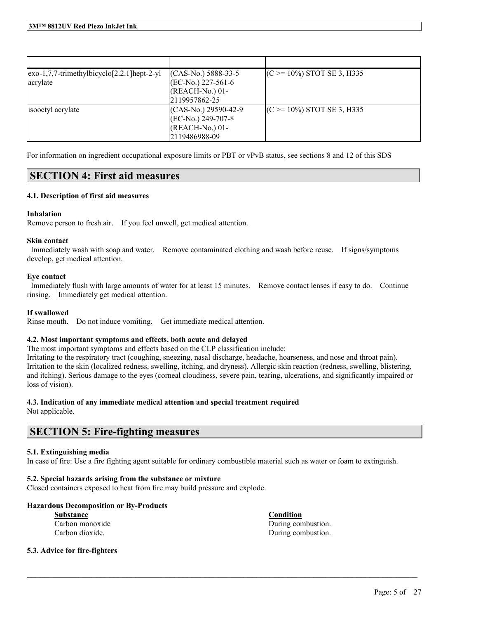| $\left[\frac{exo-1}{7}, \frac{7}{1}$ -trimethylbicyclo $\left[\frac{2}{2}, \frac{1}{1}\right]$ hept-2-yl | $(CAS-N0.) 5888-33-5$  | $(C \ge 10\%)$ STOT SE 3, H335 |
|----------------------------------------------------------------------------------------------------------|------------------------|--------------------------------|
| acrylate                                                                                                 | $ (EC-No.) 227-561-6 $ |                                |
|                                                                                                          | $(REACH-No.) 01-$      |                                |
|                                                                                                          | 2119957862-25          |                                |
| isooctyl acrylate                                                                                        | $(CAS-No.) 29590-42-9$ | $(C \ge 10\%)$ STOT SE 3, H335 |
|                                                                                                          | $ (EC-N0, 249-707-8) $ |                                |
|                                                                                                          | $(REACH-No.) 01-$      |                                |
|                                                                                                          | 2119486988-09          |                                |

For information on ingredient occupational exposure limits or PBT or vPvB status, see sections 8 and 12 of this SDS

## **SECTION 4: First aid measures**

### **4.1. Description of first aid measures**

### **Inhalation**

Remove person to fresh air. If you feel unwell, get medical attention.

### **Skin contact**

Immediately wash with soap and water. Remove contaminated clothing and wash before reuse. If signs/symptoms develop, get medical attention.

### **Eye contact**

Immediately flush with large amounts of water for at least 15 minutes. Remove contact lenses if easy to do. Continue rinsing. Immediately get medical attention.

#### **If swallowed**

Rinse mouth. Do not induce vomiting. Get immediate medical attention.

## **4.2. Most important symptoms and effects, both acute and delayed**

The most important symptoms and effects based on the CLP classification include:

Irritating to the respiratory tract (coughing, sneezing, nasal discharge, headache, hoarseness, and nose and throat pain). Irritation to the skin (localized redness, swelling, itching, and dryness). Allergic skin reaction (redness, swelling, blistering, and itching). Serious damage to the eyes (corneal cloudiness, severe pain, tearing, ulcerations, and significantly impaired or loss of vision).

## **4.3. Indication of any immediate medical attention and special treatment required**

Not applicable.

# **SECTION 5: Fire-fighting measures**

## **5.1. Extinguishing media**

In case of fire: Use a fire fighting agent suitable for ordinary combustible material such as water or foam to extinguish.

 $\mathcal{L}_\mathcal{L} = \mathcal{L}_\mathcal{L} = \mathcal{L}_\mathcal{L} = \mathcal{L}_\mathcal{L} = \mathcal{L}_\mathcal{L} = \mathcal{L}_\mathcal{L} = \mathcal{L}_\mathcal{L} = \mathcal{L}_\mathcal{L} = \mathcal{L}_\mathcal{L} = \mathcal{L}_\mathcal{L} = \mathcal{L}_\mathcal{L} = \mathcal{L}_\mathcal{L} = \mathcal{L}_\mathcal{L} = \mathcal{L}_\mathcal{L} = \mathcal{L}_\mathcal{L} = \mathcal{L}_\mathcal{L} = \mathcal{L}_\mathcal{L}$ 

## **5.2. Special hazards arising from the substance or mixture**

Closed containers exposed to heat from fire may build pressure and explode.

## **Hazardous Decomposition or By-Products**

**Substance Condition**

Carbon monoxide During combustion. Carbon dioxide. During combustion.

#### **5.3. Advice for fire-fighters**

Page: 5 of 27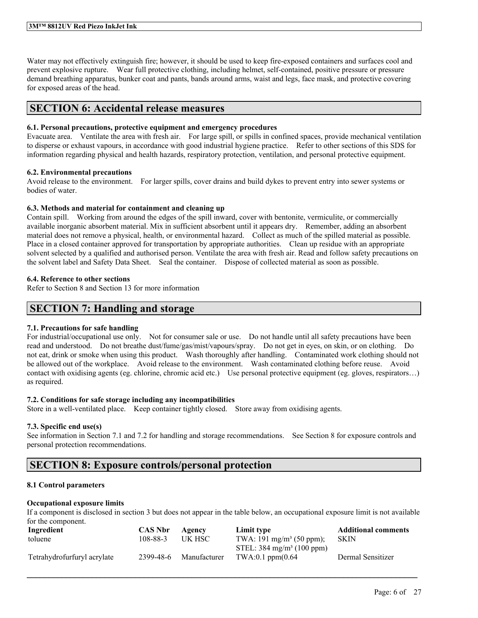Water may not effectively extinguish fire; however, it should be used to keep fire-exposed containers and surfaces cool and prevent explosive rupture. Wear full protective clothing, including helmet, self-contained, positive pressure or pressure demand breathing apparatus, bunker coat and pants, bands around arms, waist and legs, face mask, and protective covering for exposed areas of the head.

## **SECTION 6: Accidental release measures**

#### **6.1. Personal precautions, protective equipment and emergency procedures**

Evacuate area. Ventilate the area with fresh air. For large spill, or spills in confined spaces, provide mechanical ventilation to disperse or exhaust vapours, in accordance with good industrial hygiene practice. Refer to other sections of this SDS for information regarding physical and health hazards, respiratory protection, ventilation, and personal protective equipment.

### **6.2. Environmental precautions**

Avoid release to the environment. For larger spills, cover drains and build dykes to prevent entry into sewer systems or bodies of water.

### **6.3. Methods and material for containment and cleaning up**

Contain spill. Working from around the edges of the spill inward, cover with bentonite, vermiculite, or commercially available inorganic absorbent material. Mix in sufficient absorbent until it appears dry. Remember, adding an absorbent material does not remove a physical, health, or environmental hazard. Collect as much of the spilled material as possible. Place in a closed container approved for transportation by appropriate authorities. Clean up residue with an appropriate solvent selected by a qualified and authorised person. Ventilate the area with fresh air. Read and follow safety precautions on the solvent label and Safety Data Sheet. Seal the container. Dispose of collected material as soon as possible.

### **6.4. Reference to other sections**

Refer to Section 8 and Section 13 for more information

## **SECTION 7: Handling and storage**

## **7.1. Precautions for safe handling**

For industrial/occupational use only. Not for consumer sale or use. Do not handle until all safety precautions have been read and understood. Do not breathe dust/fume/gas/mist/vapours/spray. Do not get in eyes, on skin, or on clothing. Do not eat, drink or smoke when using this product. Wash thoroughly after handling. Contaminated work clothing should not be allowed out of the workplace. Avoid release to the environment. Wash contaminated clothing before reuse. Avoid contact with oxidising agents (eg. chlorine, chromic acid etc.) Use personal protective equipment (eg. gloves, respirators…) as required.

## **7.2. Conditions for safe storage including any incompatibilities**

Store in a well-ventilated place. Keep container tightly closed. Store away from oxidising agents.

## **7.3. Specific end use(s)**

See information in Section 7.1 and 7.2 for handling and storage recommendations. See Section 8 for exposure controls and personal protection recommendations.

## **SECTION 8: Exposure controls/personal protection**

## **8.1 Control parameters**

#### **Occupational exposure limits**

If a component is disclosed in section 3 but does not appear in the table below, an occupational exposure limit is not available for the component.

| Ingredient                  | <b>CAS Nbr</b> | Agency       | Limit type                           | <b>Additional comments</b> |
|-----------------------------|----------------|--------------|--------------------------------------|----------------------------|
| toluene                     | 108-88-3       | UK HSC       | TWA: 191 mg/m <sup>3</sup> (50 ppm); | <b>SKIN</b>                |
|                             |                |              | STEL: $384 \text{ mg/m}^3$ (100 ppm) |                            |
| Tetrahydrofurfuryl acrylate | 2399-48-6      | Manufacturer | $TWA:0.1$ ppm $(0.64)$               | Dermal Sensitizer          |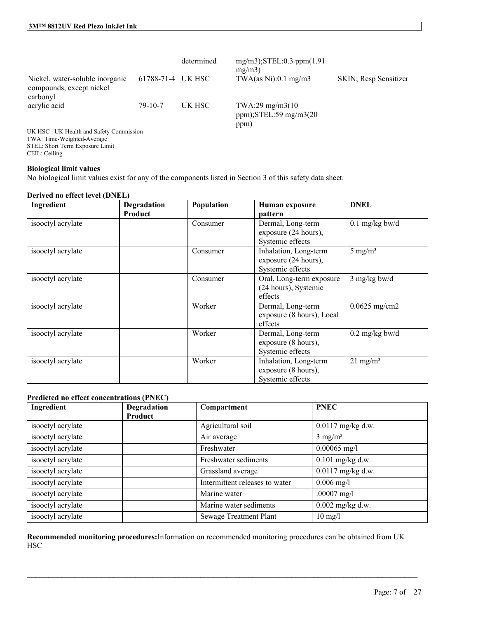|                                                                         |                   | determined | $mg/m3$ ; STEL: 0.3 ppm $(1.91)$<br>mg/m3            |                       |
|-------------------------------------------------------------------------|-------------------|------------|------------------------------------------------------|-----------------------|
| Nickel, water-soluble inorganic<br>compounds, except nickel<br>carbonyl | 61788-71-4 UK HSC |            | TWA $(as Ni):0.1 mg/m3$                              | SKIN; Resp Sensitizer |
| acrylic acid<br><b>IIV HSC · IIV Health and Safety Commission</b>       | $79 - 10 - 7$     | UK HSC     | TWA:29 mg/m3(10)<br>$ppm$ );STEL:59 mg/m3(20<br>ppm) |                       |

UK HSC : UK Health and Safety Commission TWA: Time-Weighted-Average STEL: Short Term Exposure Limit CEIL: Ceiling

## **Biological limit values**

No biological limit values exist for any of the components listed in Section 3 of this safety data sheet.

### **Derived no effect level (DNEL)**

| Ingredient        | Degradation<br><b>Product</b> | Population | Human exposure<br>pattern                                         | <b>DNEL</b>              |
|-------------------|-------------------------------|------------|-------------------------------------------------------------------|--------------------------|
| isooctyl acrylate |                               | Consumer   | Dermal, Long-term<br>exposure (24 hours),<br>Systemic effects     | $0.1$ mg/kg bw/d         |
| isooctyl acrylate |                               | Consumer   | Inhalation, Long-term<br>exposure (24 hours),<br>Systemic effects | 5 mg/m <sup>3</sup>      |
| isooctyl acrylate |                               | Consumer   | Oral, Long-term exposure<br>(24 hours), Systemic<br>effects       | $3$ mg/kg bw/d           |
| isooctyl acrylate |                               | Worker     | Dermal, Long-term<br>exposure (8 hours), Local<br>effects         | $0.0625$ mg/cm2          |
| isooctyl acrylate |                               | Worker     | Dermal, Long-term<br>exposure (8 hours),<br>Systemic effects      | $0.2 \text{ mg/kg}$ bw/d |
| isooctyl acrylate |                               | Worker     | Inhalation, Long-term<br>exposure (8 hours),<br>Systemic effects  | $21 \text{ mg/m}^3$      |

## **Predicted no effect concentrations (PNEC)**

| Ingredient        | Degradation | Compartment                    | <b>PNEC</b>         |
|-------------------|-------------|--------------------------------|---------------------|
|                   | Product     |                                |                     |
| isooctyl acrylate |             | Agricultural soil              | $0.0117$ mg/kg d.w. |
| isooctyl acrylate |             | Air average                    | $3 \text{ mg/m}^3$  |
| isooctyl acrylate |             | Freshwater                     | $0.00065$ mg/l      |
| isooctyl acrylate |             | Freshwater sediments           | $0.101$ mg/kg d.w.  |
| isooctyl acrylate |             | Grassland average              | $0.0117$ mg/kg d.w. |
| isooctyl acrylate |             | Intermittent releases to water | $0.006$ mg/l        |
| isooctyl acrylate |             | Marine water                   | $.00007$ mg/l       |
| isooctyl acrylate |             | Marine water sediments         | $0.002$ mg/kg d.w.  |
| isooctyl acrylate |             | Sewage Treatment Plant         | $10 \text{ mg/l}$   |

**Recommended monitoring procedures:**Information on recommended monitoring procedures can be obtained from UK **HSC**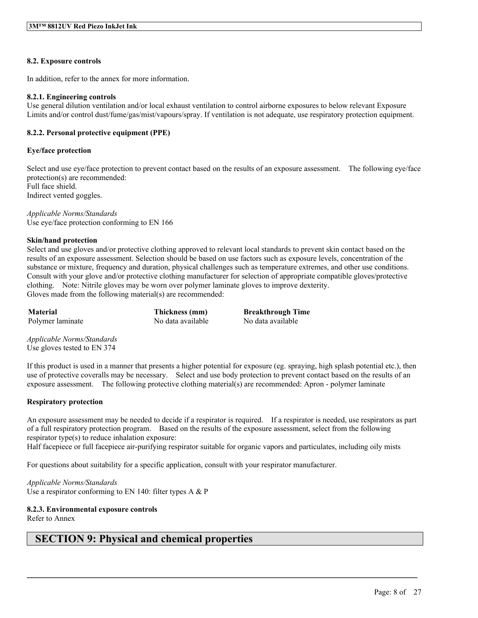### **8.2. Exposure controls**

In addition, refer to the annex for more information.

#### **8.2.1. Engineering controls**

Use general dilution ventilation and/or local exhaust ventilation to control airborne exposures to below relevant Exposure Limits and/or control dust/fume/gas/mist/vapours/spray. If ventilation is not adequate, use respiratory protection equipment.

### **8.2.2. Personal protective equipment (PPE)**

#### **Eye/face protection**

Select and use eve/face protection to prevent contact based on the results of an exposure assessment. The following eve/face protection(s) are recommended: Full face shield. Indirect vented goggles.

*Applicable Norms/Standards* Use eye/face protection conforming to EN 166

#### **Skin/hand protection**

Select and use gloves and/or protective clothing approved to relevant local standards to prevent skin contact based on the results of an exposure assessment. Selection should be based on use factors such as exposure levels, concentration of the substance or mixture, frequency and duration, physical challenges such as temperature extremes, and other use conditions. Consult with your glove and/or protective clothing manufacturer for selection of appropriate compatible gloves/protective clothing. Note: Nitrile gloves may be worn over polymer laminate gloves to improve dexterity. Gloves made from the following material(s) are recommended:

**Material Thickness (mm) Breakthrough Time** Polymer laminate No data available No data available

*Applicable Norms/Standards* Use gloves tested to EN 374

If this product is used in a manner that presents a higher potential for exposure (eg. spraying, high splash potential etc.), then use of protective coveralls may be necessary. Select and use body protection to prevent contact based on the results of an exposure assessment. The following protective clothing material(s) are recommended: Apron - polymer laminate

#### **Respiratory protection**

An exposure assessment may be needed to decide if a respirator is required. If a respirator is needed, use respirators as part of a full respiratory protection program. Based on the results of the exposure assessment, select from the following respirator type(s) to reduce inhalation exposure:

 $\mathcal{L}_\mathcal{L} = \mathcal{L}_\mathcal{L} = \mathcal{L}_\mathcal{L} = \mathcal{L}_\mathcal{L} = \mathcal{L}_\mathcal{L} = \mathcal{L}_\mathcal{L} = \mathcal{L}_\mathcal{L} = \mathcal{L}_\mathcal{L} = \mathcal{L}_\mathcal{L} = \mathcal{L}_\mathcal{L} = \mathcal{L}_\mathcal{L} = \mathcal{L}_\mathcal{L} = \mathcal{L}_\mathcal{L} = \mathcal{L}_\mathcal{L} = \mathcal{L}_\mathcal{L} = \mathcal{L}_\mathcal{L} = \mathcal{L}_\mathcal{L}$ 

Half facepiece or full facepiece air-purifying respirator suitable for organic vapors and particulates, including oily mists

For questions about suitability for a specific application, consult with your respirator manufacturer.

*Applicable Norms/Standards* Use a respirator conforming to EN 140: filter types A & P

**8.2.3. Environmental exposure controls**

Refer to Annex

## **SECTION 9: Physical and chemical properties**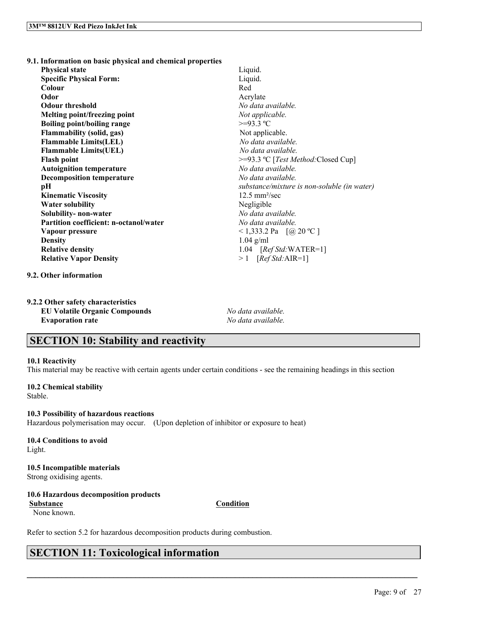**9.1. Information on basic physical and chemical properties Physical state** Liquid. **Specific Physical Form:** Liquid. **Colour** Red **Odor** Acrylate **Odour threshold** *No data available.* **Melting point/freezing point** *Not applicable.* **Boiling point/boiling range** >=93.3 ºC **Flammability (solid, gas)** Not applicable.<br> **Flammable Limits(LEL)** No data available.  $Flammable Limits(LEL)$ **Flammable Limits(UEL)** *No data available.* **Flash point**  $\geq$  =93.3 °C [*Test Method:* Closed Cup] **Autoignition temperature** *No data available.* **Decomposition temperature** *No data available.* **pH** *substance/mixture is non-soluble (in water)* **Kinematic Viscosity** 12.5 mm²/sec **Water solubility** Negligible **Solubility- non-water** *No data available.* **Partition coefficient: n-octanol/water** *No data available.* **Vapour pressure**  $\leq 1,333.2$  Pa  $\left[$  (@ 20 °C ]

**Relative density** 1.04 [*Ref Std:*WATER=1] **Relative Vapor Density** > 1 [*Ref Std:*AIR=1]

**Density** 1.04 g/ml

**9.2. Other information**

**9.2.2 Other safety characteristics EU Volatile Organic Compounds** *No data available.* **Evaporation rate** *No data available.*

# **SECTION 10: Stability and reactivity**

#### **10.1 Reactivity**

This material may be reactive with certain agents under certain conditions - see the remaining headings in this section

**10.2 Chemical stability** Stable.

**10.3 Possibility of hazardous reactions** Hazardous polymerisation may occur. (Upon depletion of inhibitor or exposure to heat)

**10.4 Conditions to avoid** Light.

# **10.5 Incompatible materials**

Strong oxidising agents.

## **10.6 Hazardous decomposition products**

**Substance Condition** None known.

 $\mathcal{L}_\mathcal{L} = \mathcal{L}_\mathcal{L} = \mathcal{L}_\mathcal{L} = \mathcal{L}_\mathcal{L} = \mathcal{L}_\mathcal{L} = \mathcal{L}_\mathcal{L} = \mathcal{L}_\mathcal{L} = \mathcal{L}_\mathcal{L} = \mathcal{L}_\mathcal{L} = \mathcal{L}_\mathcal{L} = \mathcal{L}_\mathcal{L} = \mathcal{L}_\mathcal{L} = \mathcal{L}_\mathcal{L} = \mathcal{L}_\mathcal{L} = \mathcal{L}_\mathcal{L} = \mathcal{L}_\mathcal{L} = \mathcal{L}_\mathcal{L}$ 

Refer to section 5.2 for hazardous decomposition products during combustion.

# **SECTION 11: Toxicological information**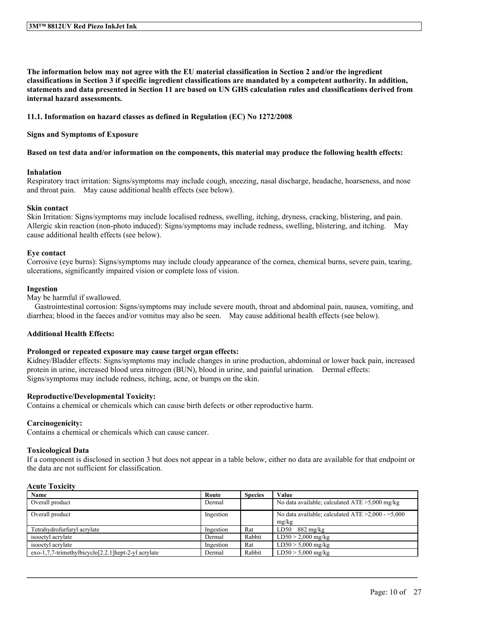The information below may not agree with the EU material classification in Section 2 and/or the ingredient classifications in Section 3 if specific ingredient classifications are mandated by a competent authority. In addition, statements and data presented in Section 11 are based on UN GHS calculation rules and classifications derived from **internal hazard assessments.**

#### **11.1. Information on hazard classes as defined in Regulation (EC) No 1272/2008**

#### **Signs and Symptoms of Exposure**

#### Based on test data and/or information on the components, this material may produce the following health effects:

#### **Inhalation**

Respiratory tract irritation: Signs/symptoms may include cough, sneezing, nasal discharge, headache, hoarseness, and nose and throat pain. May cause additional health effects (see below).

### **Skin contact**

Skin Irritation: Signs/symptoms may include localised redness, swelling, itching, dryness, cracking, blistering, and pain. Allergic skin reaction (non-photo induced): Signs/symptoms may include redness, swelling, blistering, and itching. May cause additional health effects (see below).

#### **Eye contact**

Corrosive (eye burns): Signs/symptoms may include cloudy appearance of the cornea, chemical burns, severe pain, tearing, ulcerations, significantly impaired vision or complete loss of vision.

### **Ingestion**

May be harmful if swallowed.

Gastrointestinal corrosion: Signs/symptoms may include severe mouth, throat and abdominal pain, nausea, vomiting, and diarrhea; blood in the faeces and/or vomitus may also be seen. May cause additional health effects (see below).

## **Additional Health Effects:**

#### **Prolonged or repeated exposure may cause target organ effects:**

Kidney/Bladder effects: Signs/symptoms may include changes in urine production, abdominal or lower back pain, increased protein in urine, increased blood urea nitrogen (BUN), blood in urine, and painful urination. Dermal effects: Signs/symptoms may include redness, itching, acne, or bumps on the skin.

## **Reproductive/Developmental Toxicity:**

Contains a chemical or chemicals which can cause birth defects or other reproductive harm.

## **Carcinogenicity:**

Contains a chemical or chemicals which can cause cancer.

#### **Toxicological Data**

If a component is disclosed in section 3 but does not appear in a table below, either no data are available for that endpoint or the data are not sufficient for classification.

## **Acute Toxicity**

| Name                                                       | Route     | <b>Species</b> | Value                                                  |
|------------------------------------------------------------|-----------|----------------|--------------------------------------------------------|
| Overall product                                            | Dermal    |                | No data available; calculated $ATE > 5,000$ mg/kg      |
| Overall product                                            | Ingestion |                | No data available; calculated ATE $\geq 2,000 - 5,000$ |
|                                                            |           |                | mg/kg                                                  |
| Tetrahydrofurfuryl acrylate                                | Ingestion | Rat            | $LD50$ 882 mg/kg                                       |
| isooctyl acrylate                                          | Dermal    | Rabbit         | $LD50 > 2,000$ mg/kg                                   |
| isooctvl acrylate                                          | Ingestion | Rat            | $LD50 > 5,000$ mg/kg                                   |
| $exo-1,7,7-$ trimethylbicyclo $[2.2.1]$ hept-2-yl acrylate | Dermal    | Rabbit         | $LD50 > 5,000$ mg/kg                                   |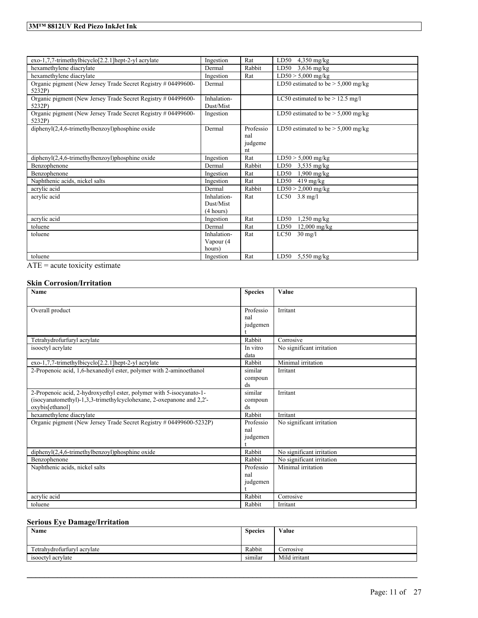## **3M™ 8812UV Red Piezo InkJet Ink**

| $exo-1,7,7-$ trimethylbicyclo <sup>[2.2.1]</sup> hept-2-yl acrylate     | Ingestion                             | Rat                               | LD50<br>$4,350$ mg/kg                |
|-------------------------------------------------------------------------|---------------------------------------|-----------------------------------|--------------------------------------|
| hexamethylene diacrylate                                                | Dermal                                | Rabbit                            | LD50<br>$3,636$ mg/kg                |
| hexamethylene diacrylate                                                | Ingestion                             | Rat                               | $LD50 > 5,000$ mg/kg                 |
| Organic pigment (New Jersey Trade Secret Registry # 04499600-<br>5232P) | Dermal                                |                                   | LD50 estimated to be $> 5,000$ mg/kg |
| Organic pigment (New Jersey Trade Secret Registry # 04499600-<br>5232P) | Inhalation-<br>Dust/Mist              |                                   | LC50 estimated to be $> 12.5$ mg/l   |
| Organic pigment (New Jersey Trade Secret Registry # 04499600-<br>5232P) | Ingestion                             |                                   | LD50 estimated to be $>$ 5,000 mg/kg |
| $dipheny I(2,4,6-trimethylbenzoyl)phosphine oxide$                      | Dermal                                | Professio<br>nal<br>judgeme<br>nt | LD50 estimated to be $>$ 5,000 mg/kg |
| $dipheny I(2,4,6-trimethylbenzoyl)phosphine oxide$                      | Ingestion                             | Rat                               | $LD50 > 5,000$ mg/kg                 |
| Benzophenone                                                            | Dermal                                | Rabbit                            | LD50<br>$3,535$ mg/kg                |
| Benzophenone                                                            | Ingestion                             | Rat                               | LD50<br>$1,900$ mg/kg                |
| Naphthenic acids, nickel salts                                          | Ingestion                             | Rat                               | LD50<br>$419 \text{ mg/kg}$          |
| acrylic acid                                                            | Dermal                                | Rabbit                            | $LD50 > 2,000$ mg/kg                 |
| acrylic acid                                                            | Inhalation-<br>Dust/Mist<br>(4 hours) | Rat                               | $LC50 - 3.8$ mg/l                    |
| acrylic acid                                                            | Ingestion                             | Rat                               | LD50<br>$1,250$ mg/kg                |
| toluene                                                                 | Dermal                                | Rat                               | LD50<br>$12,000 \,\mathrm{mg/kg}$    |
| toluene                                                                 | Inhalation-                           | Rat                               | LC50<br>$30 \text{ mg/l}$            |
|                                                                         | Vapour (4<br>hours)                   |                                   |                                      |
| toluene                                                                 | Ingestion                             | Rat                               | LD50 $5,550$ mg/kg                   |

ATE = acute toxicity estimate

## **Skin Corrosion/Irritation**

| Name                                                                                                                                                            | <b>Species</b>                               | Value                     |
|-----------------------------------------------------------------------------------------------------------------------------------------------------------------|----------------------------------------------|---------------------------|
| Overall product                                                                                                                                                 | Professio<br>nal<br>judgemen                 | Irritant                  |
| Tetrahydrofurfuryl acrylate                                                                                                                                     | Rabbit                                       | Corrosive                 |
| isooctyl acrylate                                                                                                                                               | In vitro<br>data                             | No significant irritation |
| exo-1,7,7-trimethylbicyclo[2.2.1]hept-2-yl acrylate                                                                                                             | Rabbit                                       | Minimal irritation        |
| 2-Propenoic acid, 1,6-hexanediyl ester, polymer with 2-aminoethanol                                                                                             | similar<br>compoun<br>$\mathrm{d}\mathrm{s}$ | Irritant                  |
| 2-Propenoic acid, 2-hydroxyethyl ester, polymer with 5-isocyanato-1-<br>(isocyanatomethyl)-1,3,3-trimethylcyclohexane, 2-oxepanone and 2,2'-<br>oxybis[ethanol] | similar<br>compoun<br>$\mathrm{d}\mathrm{s}$ | Irritant                  |
| hexamethylene diacrylate                                                                                                                                        | Rabbit                                       | Irritant                  |
| Organic pigment (New Jersey Trade Secret Registry # 04499600-5232P)                                                                                             | Professio<br>nal<br>judgemen                 | No significant irritation |
| diphenyl(2,4,6-trimethylbenzoyl)phosphine oxide                                                                                                                 | Rabbit                                       | No significant irritation |
| Benzophenone                                                                                                                                                    | Rabbit                                       | No significant irritation |
| Naphthenic acids, nickel salts                                                                                                                                  | Professio<br>nal<br>judgemen                 | Minimal irritation        |
| acrylic acid                                                                                                                                                    | Rabbit                                       | Corrosive                 |
| toluene                                                                                                                                                         | Rabbit                                       | Irritant                  |

## **Serious Eye Damage/Irritation**

| <b>Name</b>                 | <b>Species</b>       | Value         |
|-----------------------------|----------------------|---------------|
|                             |                      |               |
| Tetrahydrofurfuryl acrylate | Rabbit               | Corrosive     |
| isooctyl acrylate           | $\cdot$ .<br>similar | Mild irritant |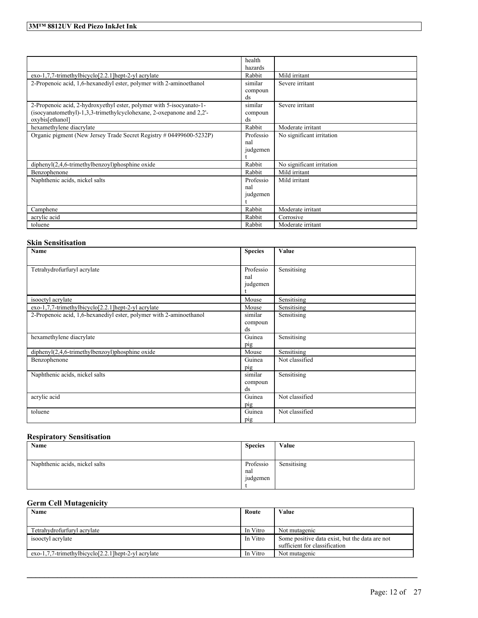|                                                                                                                                                                 | health<br>hazards            |                           |
|-----------------------------------------------------------------------------------------------------------------------------------------------------------------|------------------------------|---------------------------|
| exo-1,7,7-trimethylbicyclo[2.2.1] hept-2-yl acrylate                                                                                                            | Rabbit                       | Mild irritant             |
| 2-Propenoic acid, 1,6-hexanediyl ester, polymer with 2-aminoethanol                                                                                             | similar<br>compoun<br>ds     | Severe irritant           |
| 2-Propenoic acid, 2-hydroxyethyl ester, polymer with 5-isocyanato-1-<br>(isocyanatomethyl)-1,3,3-trimethylcyclohexane, 2-oxepanone and 2,2'-<br>oxybis[ethanol] | similar<br>compoun<br>ds     | Severe irritant           |
| hexamethylene diacrylate                                                                                                                                        | Rabbit                       | Moderate irritant         |
| Organic pigment (New Jersey Trade Secret Registry # 04499600-5232P)                                                                                             | Professio<br>nal<br>judgemen | No significant irritation |
| $dipheny I(2,4,6-trimethylbenzoyl)phosphine oxide$                                                                                                              | Rabbit                       | No significant irritation |
| Benzophenone                                                                                                                                                    | Rabbit                       | Mild irritant             |
| Naphthenic acids, nickel salts                                                                                                                                  | Professio<br>nal<br>judgemen | Mild irritant             |
| Camphene                                                                                                                                                        | Rabbit                       | Moderate irritant         |
| acrylic acid                                                                                                                                                    | Rabbit                       | Corrosive                 |
| toluene                                                                                                                                                         | Rabbit                       | Moderate irritant         |

## **Skin Sensitisation**

| Name                                                                | <b>Species</b>               | Value          |
|---------------------------------------------------------------------|------------------------------|----------------|
|                                                                     |                              |                |
| Tetrahydrofurfuryl acrylate                                         | Professio<br>nal<br>judgemen | Sensitising    |
| isooctyl acrylate                                                   | Mouse                        | Sensitising    |
| exo-1,7,7-trimethylbicyclo[2.2.1]hept-2-yl acrylate                 | Mouse                        | Sensitising    |
| 2-Propenoic acid, 1,6-hexanediyl ester, polymer with 2-aminoethanol | similar<br>compoun<br>ds     | Sensitising    |
| hexamethylene diacrylate                                            | Guinea<br>pig                | Sensitising    |
| diphenyl(2,4,6-trimethylbenzoyl)phosphine oxide                     | Mouse                        | Sensitising    |
| Benzophenone                                                        | Guinea<br>pig                | Not classified |
| Naphthenic acids, nickel salts                                      | similar<br>compoun<br>ds     | Sensitising    |
| acrylic acid                                                        | Guinea<br>pig                | Not classified |
| toluene                                                             | Guinea<br>pig                | Not classified |

## **Respiratory Sensitisation**

| Name                           | <b>Species</b> | Value       |
|--------------------------------|----------------|-------------|
|                                |                |             |
| Naphthenic acids, nickel salts | Professio      | Sensitising |
|                                | nal            |             |
|                                | judgemen       |             |
|                                |                |             |

## **Germ Cell Mutagenicity**

| Name<br>Route                                              |          | Value                                                                           |
|------------------------------------------------------------|----------|---------------------------------------------------------------------------------|
|                                                            |          |                                                                                 |
| Tetrahydrofurfuryl acrylate                                | In Vitro | Not mutagenic                                                                   |
| isooctyl acrylate                                          | In Vitro | Some positive data exist, but the data are not<br>sufficient for classification |
| $exo-1,7,7-$ trimethylbicyclo $[2,2,1]$ hept-2-yl acrylate | In Vitro | Not mutagenic                                                                   |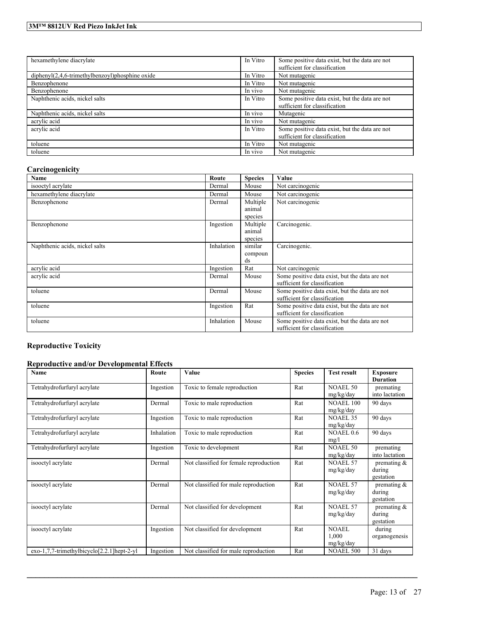## **3M™ 8812UV Red Piezo InkJet Ink**

| hexamethylene diacrylate                           | In Vitro | Some positive data exist, but the data are not<br>sufficient for classification |  |  |
|----------------------------------------------------|----------|---------------------------------------------------------------------------------|--|--|
| $dipheny I(2,4,6-trimethylbenzoyl)phosphine oxide$ | In Vitro | Not mutagenic                                                                   |  |  |
| Benzophenone                                       | In Vitro | Not mutagenic                                                                   |  |  |
| Benzophenone                                       | In vivo  | Not mutagenic                                                                   |  |  |
| Naphthenic acids, nickel salts                     | In Vitro | Some positive data exist, but the data are not<br>sufficient for classification |  |  |
| Naphthenic acids, nickel salts                     | In vivo  | Mutagenic                                                                       |  |  |
| acrylic acid                                       | In vivo  | Not mutagenic                                                                   |  |  |
| acrylic acid                                       | In Vitro | Some positive data exist, but the data are not<br>sufficient for classification |  |  |
| toluene                                            | In Vitro | Not mutagenic                                                                   |  |  |
| toluene                                            | In vivo  | Not mutagenic                                                                   |  |  |

## **Carcinogenicity**

| Name                           | Route      | <b>Species</b> | Value                                          |
|--------------------------------|------------|----------------|------------------------------------------------|
| isooctyl acrylate              | Dermal     | Mouse          | Not carcinogenic                               |
| hexamethylene diacrylate       | Dermal     | Mouse          | Not carcinogenic                               |
| Benzophenone                   | Dermal     | Multiple       | Not carcinogenic                               |
|                                |            | animal         |                                                |
|                                |            | species        |                                                |
| Benzophenone                   | Ingestion  | Multiple       | Carcinogenic.                                  |
|                                |            | animal         |                                                |
|                                |            | species        |                                                |
| Naphthenic acids, nickel salts | Inhalation | similar        | Carcinogenic.                                  |
|                                |            | compoun        |                                                |
|                                |            | ds             |                                                |
| acrylic acid                   | Ingestion  | Rat            | Not carcinogenic                               |
| acrylic acid                   | Dermal     | Mouse          | Some positive data exist, but the data are not |
|                                |            |                | sufficient for classification                  |
| toluene                        | Dermal     | Mouse          | Some positive data exist, but the data are not |
|                                |            |                | sufficient for classification                  |
| toluene                        | Ingestion  | Rat            | Some positive data exist, but the data are not |
|                                |            |                | sufficient for classification                  |
| toluene                        | Inhalation | Mouse          | Some positive data exist, but the data are not |
|                                |            |                | sufficient for classification                  |

# **Reproductive Toxicity**

## **Reproductive and/or Developmental Effects**

| Name                                       | Route      | Value                                  | <b>Species</b> | <b>Test result</b>            | <b>Exposure</b><br><b>Duration</b>    |
|--------------------------------------------|------------|----------------------------------------|----------------|-------------------------------|---------------------------------------|
| Tetrahydrofurfuryl acrylate                | Ingestion  | Toxic to female reproduction           | Rat            | <b>NOAEL 50</b><br>mg/kg/day  | premating<br>into lactation           |
| Tetrahydrofurfuryl acrylate                | Dermal     | Toxic to male reproduction             | Rat            | <b>NOAEL 100</b><br>mg/kg/day | 90 days                               |
| Tetrahydrofurfuryl acrylate                | Ingestion  | Toxic to male reproduction             | Rat            | <b>NOAEL 35</b><br>mg/kg/day  | 90 days                               |
| Tetrahydrofurfuryl acrylate                | Inhalation | Toxic to male reproduction             | Rat            | NOAEL 0.6<br>mg/l             | 90 days                               |
| Tetrahydrofurfuryl acrylate                | Ingestion  | Toxic to development                   | Rat            | <b>NOAEL 50</b><br>mg/kg/day  | premating<br>into lactation           |
| isooctyl acrylate                          | Dermal     | Not classified for female reproduction | Rat            | <b>NOAEL 57</b><br>mg/kg/day  | premating $\&$<br>during<br>gestation |
| isooctyl acrylate                          | Dermal     | Not classified for male reproduction   | Rat            | <b>NOAEL 57</b><br>mg/kg/day  | premating $\&$<br>during<br>gestation |
| isooctyl acrylate                          | Dermal     | Not classified for development         | Rat            | <b>NOAEL 57</b><br>mg/kg/day  | premating $&$<br>during<br>gestation  |
| isooctyl acrylate                          | Ingestion  | Not classified for development         | Rat            | NOAEL<br>1,000<br>mg/kg/day   | during<br>organogenesis               |
| exo-1,7,7-trimethylbicyclo[2.2.1]hept-2-yl | Ingestion  | Not classified for male reproduction   | Rat            | <b>NOAEL 500</b>              | 31 days                               |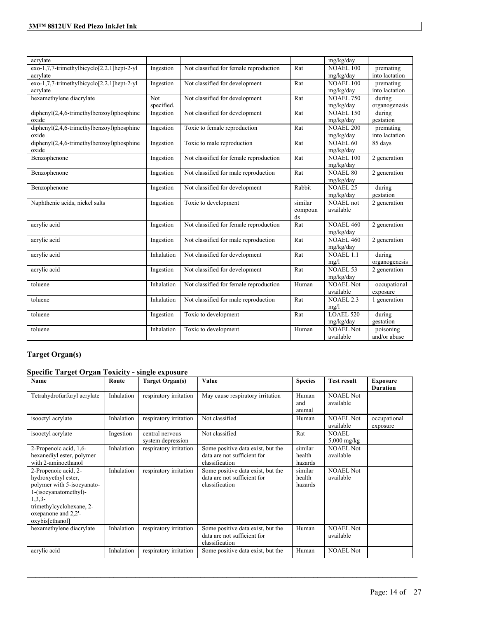| acrylate                                   |            |                                        |                      | mg/kg/day                    |                     |
|--------------------------------------------|------------|----------------------------------------|----------------------|------------------------------|---------------------|
| exo-1,7,7-trimethylbicyclo[2.2.1]hept-2-yl | Ingestion  | Not classified for female reproduction | Rat                  | <b>NOAEL 100</b>             | premating           |
| acrylate                                   |            |                                        |                      | mg/kg/day                    | into lactation      |
| exo-1,7,7-trimethylbicyclo[2.2.1]hept-2-yl | Ingestion  | Not classified for development         | Rat                  | <b>NOAEL 100</b>             | premating           |
| acrylate                                   |            |                                        |                      | mg/kg/day                    | into lactation      |
| hexamethylene diacrylate                   | <b>Not</b> | Not classified for development         | Rat                  | <b>NOAEL 750</b>             | during              |
|                                            | specified. |                                        |                      | mg/kg/day                    | organogenesis       |
| diphenyl(2,4,6-trimethylbenzoyl)phosphine  | Ingestion  | Not classified for development         | Rat                  | <b>NOAEL 150</b>             | during              |
| oxide                                      |            |                                        |                      | mg/kg/day                    | gestation           |
| diphenyl(2,4,6-trimethylbenzoyl)phosphine  | Ingestion  | Toxic to female reproduction           | Rat                  | <b>NOAEL 200</b>             | premating           |
| oxide                                      |            |                                        |                      | mg/kg/day                    | into lactation      |
| diphenyl(2,4,6-trimethylbenzoyl)phosphine  | Ingestion  | Toxic to male reproduction             | Rat                  | <b>NOAEL 60</b>              | 85 days             |
| oxide                                      |            |                                        |                      | mg/kg/day                    |                     |
| Benzophenone                               | Ingestion  | Not classified for female reproduction | Rat                  | <b>NOAEL 100</b>             | 2 generation        |
|                                            |            |                                        |                      | mg/kg/day                    |                     |
| Benzophenone                               | Ingestion  | Not classified for male reproduction   | Rat                  | <b>NOAEL 80</b>              | 2 generation        |
|                                            |            |                                        | Rabbit               | mg/kg/day<br><b>NOAEL 25</b> |                     |
| Benzophenone                               | Ingestion  | Not classified for development         |                      | mg/kg/day                    | during<br>gestation |
| Naphthenic acids, nickel salts             | Ingestion  | Toxic to development                   | similar              | <b>NOAEL</b> not             | 2 generation        |
|                                            |            |                                        | compoun              | available                    |                     |
|                                            |            |                                        | ds                   |                              |                     |
| acrylic acid                               | Ingestion  | Not classified for female reproduction | $\operatorname{Rat}$ | <b>NOAEL 460</b>             | 2 generation        |
|                                            |            |                                        |                      | mg/kg/day                    |                     |
| acrylic acid                               | Ingestion  | Not classified for male reproduction   | Rat                  | <b>NOAEL 460</b>             | 2 generation        |
|                                            |            |                                        |                      | mg/kg/day                    |                     |
| acrylic acid                               | Inhalation | Not classified for development         | Rat                  | <b>NOAEL 1.1</b>             | during              |
|                                            |            |                                        |                      | mg/l                         | organogenesis       |
| acrylic acid                               | Ingestion  | Not classified for development         | Rat                  | <b>NOAEL 53</b>              | 2 generation        |
|                                            |            |                                        |                      | mg/kg/day                    |                     |
| toluene                                    | Inhalation | Not classified for female reproduction | Human                | <b>NOAEL Not</b>             | occupational        |
|                                            |            |                                        |                      | available                    | exposure            |
| toluene                                    | Inhalation | Not classified for male reproduction   | Rat                  | <b>NOAEL 2.3</b>             | 1 generation        |
|                                            |            |                                        |                      | mg/l                         |                     |
| toluene                                    | Ingestion  | Toxic to development                   | Rat                  | <b>LOAEL 520</b>             | during              |
|                                            |            |                                        |                      | mg/kg/day                    | gestation           |
| toluene                                    | Inhalation | Toxic to development                   | Human                | NOAEL Not                    | poisoning           |
|                                            |            |                                        |                      | available                    | and/or abuse        |

## **Target Organ(s)**

## **Specific Target Organ Toxicity - single exposure**

| Name                                                                                                                                                                                 | Route      | <b>Target Organ(s)</b>               | Value                                                                              | <b>Species</b>               | <b>Test result</b>            | <b>Exposure</b><br><b>Duration</b> |
|--------------------------------------------------------------------------------------------------------------------------------------------------------------------------------------|------------|--------------------------------------|------------------------------------------------------------------------------------|------------------------------|-------------------------------|------------------------------------|
| Tetrahydrofurfuryl acrylate                                                                                                                                                          | Inhalation | respiratory irritation               | May cause respiratory irritation                                                   | Human<br>and<br>animal       | <b>NOAEL Not</b><br>available |                                    |
| isooctyl acrylate                                                                                                                                                                    | Inhalation | respiratory irritation               | Not classified                                                                     | Human                        | <b>NOAEL Not</b><br>available | occupational<br>exposure           |
| isooctyl acrylate                                                                                                                                                                    | Ingestion  | central nervous<br>system depression | Not classified                                                                     | Rat                          | <b>NOAEL</b><br>$5,000$ mg/kg |                                    |
| 2-Propenoic acid, 1,6-<br>hexanediyl ester, polymer<br>with 2-aminoethanol                                                                                                           | Inhalation | respiratory irritation               | Some positive data exist, but the<br>data are not sufficient for<br>classification | similar<br>health<br>hazards | <b>NOAEL Not</b><br>available |                                    |
| 2-Propenoic acid, 2-<br>hydroxyethyl ester,<br>polymer with 5-isocyanato-<br>1-(isocyanatomethyl)-<br>$1,3,3-$<br>trimethylcyclohexane, 2-<br>oxepanone and 2,2'-<br>oxybis[ethanol] | Inhalation | respiratory irritation               | Some positive data exist, but the<br>data are not sufficient for<br>classification | similar<br>health<br>hazards | <b>NOAEL Not</b><br>available |                                    |
| hexamethylene diacrylate                                                                                                                                                             | Inhalation | respiratory irritation               | Some positive data exist, but the<br>data are not sufficient for<br>classification | Human                        | <b>NOAEL Not</b><br>available |                                    |
| acrylic acid                                                                                                                                                                         | Inhalation | respiratory irritation               | Some positive data exist, but the                                                  | Human                        | <b>NOAEL Not</b>              |                                    |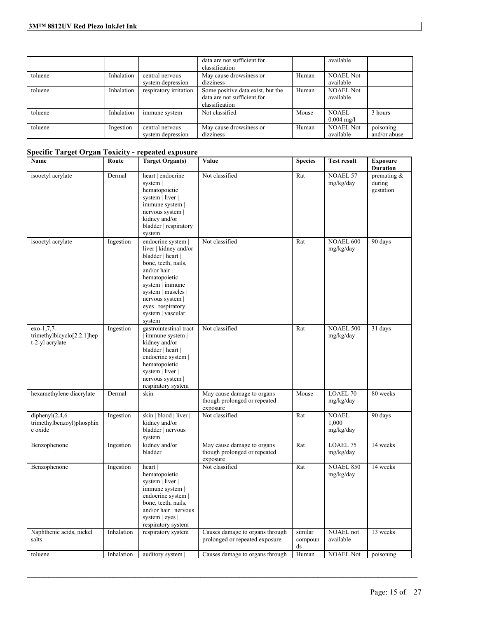|         |            |                                      | data are not sufficient for<br>classification                                      |       | available                     |                           |
|---------|------------|--------------------------------------|------------------------------------------------------------------------------------|-------|-------------------------------|---------------------------|
| toluene | Inhalation | central nervous<br>system depression | May cause drowsiness or<br>dizziness                                               | Human | <b>NOAEL Not</b><br>available |                           |
| toluene | Inhalation | respiratory irritation               | Some positive data exist, but the<br>data are not sufficient for<br>classification | Human | <b>NOAEL Not</b><br>available |                           |
| toluene | Inhalation | immune system                        | Not classified                                                                     | Mouse | NOAEL<br>$0.004 \text{ mg/l}$ | 3 hours                   |
| toluene | Ingestion  | central nervous<br>system depression | May cause drowsiness or<br>dizziness                                               | Human | <b>NOAEL Not</b><br>available | poisoning<br>and/or abuse |

## **Specific Target Organ Toxicity - repeated exposure**

| Name                                                                     | Route      | <b>Target Organ(s)</b>                                                                                                                                                                                                                      | Value                                                                  | <b>Species</b>           | <b>Test result</b>                 | <b>Exposure</b><br><b>Duration</b>    |
|--------------------------------------------------------------------------|------------|---------------------------------------------------------------------------------------------------------------------------------------------------------------------------------------------------------------------------------------------|------------------------------------------------------------------------|--------------------------|------------------------------------|---------------------------------------|
| isooctyl acrylate                                                        | Dermal     | heart   endocrine<br>system  <br>hematopoietic<br>system   liver  <br>immune system  <br>nervous system  <br>kidney and/or<br>bladder   respiratory<br>system                                                                               | Not classified                                                         | Rat                      | <b>NOAEL 57</b><br>mg/kg/day       | premating $\&$<br>during<br>gestation |
| isooctyl acrylate                                                        | Ingestion  | endocrine system  <br>liver   kidney and/or<br>bladder   heart  <br>bone, teeth, nails,<br>and/or hair  <br>hematopoietic<br>system   immune<br>system   muscles  <br>nervous system  <br>eyes   respiratory<br>system   vascular<br>system | Not classified                                                         | Rat                      | <b>NOAEL 600</b><br>mg/kg/day      | 90 days                               |
| exo-1,7,7-<br>trimethylbicyclo <sup>[2.2.1]</sup> hep<br>t-2-yl acrylate | Ingestion  | gastrointestinal tract<br>immune system<br>kidney and/or<br>bladder   heart  <br>endocrine system  <br>hematopoietic<br>system   liver  <br>nervous system  <br>respiratory system                                                          | Not classified                                                         | Rat                      | <b>NOAEL 500</b><br>mg/kg/day      | 31 days                               |
| hexamethylene diacrylate                                                 | Dermal     | skin                                                                                                                                                                                                                                        | May cause damage to organs<br>though prolonged or repeated<br>exposure | Mouse                    | <b>LOAEL 70</b><br>mg/kg/day       | 80 weeks                              |
| diphenyl $(2,4,6-$<br>trimethylbenzoyl)phosphin<br>e oxide               | Ingestion  | skin   blood   liver  <br>kidney and/or<br>bladder   nervous<br>system                                                                                                                                                                      | Not classified                                                         | Rat                      | <b>NOAEL</b><br>1,000<br>mg/kg/day | 90 days                               |
| Benzophenone                                                             | Ingestion  | kidney and/or<br>bladder                                                                                                                                                                                                                    | May cause damage to organs<br>though prolonged or repeated<br>exposure | Rat                      | LOAEL 75<br>mg/kg/day              | 14 weeks                              |
| Benzophenone                                                             | Ingestion  | heart<br>hematopoietic<br>system   liver  <br>immune system  <br>endocrine system  <br>bone, teeth, nails,<br>and/or hair   nervous<br>system   eyes  <br>respiratory system                                                                | Not classified                                                         | Rat                      | <b>NOAEL 850</b><br>mg/kg/day      | 14 weeks                              |
| Naphthenic acids, nickel<br>salts                                        | Inhalation | respiratory system                                                                                                                                                                                                                          | Causes damage to organs through<br>prolonged or repeated exposure      | similar<br>compoun<br>ds | <b>NOAEL</b> not<br>available      | 13 weeks                              |
| toluene                                                                  | Inhalation | auditory system                                                                                                                                                                                                                             | Causes damage to organs through                                        | Human                    | <b>NOAEL Not</b>                   | poisoning                             |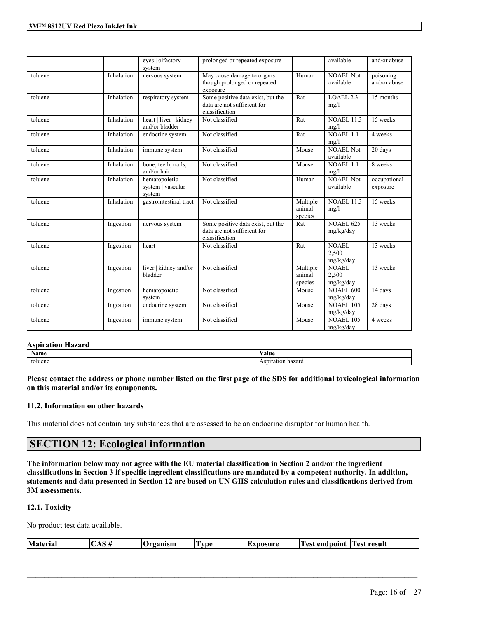|         |            | eyes   olfactory<br>system                   | prolonged or repeated exposure                                                     |                               | available                          | and/or abuse              |
|---------|------------|----------------------------------------------|------------------------------------------------------------------------------------|-------------------------------|------------------------------------|---------------------------|
| toluene | Inhalation | nervous system                               | May cause damage to organs<br>though prolonged or repeated<br>exposure             | Human                         | <b>NOAEL Not</b><br>available      | poisoning<br>and/or abuse |
| toluene | Inhalation | respiratory system                           | Some positive data exist, but the<br>data are not sufficient for<br>classification | Rat                           | LOAEL 2.3<br>mg/l                  | 15 months                 |
| toluene | Inhalation | heart   liver   kidney<br>and/or bladder     | Not classified                                                                     | Rat                           | <b>NOAEL 11.3</b><br>mg/l          | 15 weeks                  |
| toluene | Inhalation | endocrine system                             | Not classified                                                                     | Rat                           | $NOAEL$ 1.1<br>mg/l                | 4 weeks                   |
| toluene | Inhalation | immune system                                | Not classified                                                                     | Mouse                         | <b>NOAEL Not</b><br>available      | 20 days                   |
| toluene | Inhalation | bone, teeth, nails,<br>and/or hair           | Not classified                                                                     | Mouse                         | $NOAEL$ 1.1<br>mg/l                | 8 weeks                   |
| toluene | Inhalation | hematopoietic<br>system   vascular<br>system | Not classified                                                                     | Human                         | <b>NOAEL Not</b><br>available      | occupational<br>exposure  |
| toluene | Inhalation | gastrointestinal tract                       | Not classified                                                                     | Multiple<br>animal<br>species | <b>NOAEL 11.3</b><br>mg/l          | 15 weeks                  |
| toluene | Ingestion  | nervous system                               | Some positive data exist, but the<br>data are not sufficient for<br>classification | Rat                           | <b>NOAEL 625</b><br>mg/kg/day      | 13 weeks                  |
| toluene | Ingestion  | heart                                        | Not classified                                                                     | Rat                           | <b>NOAEL</b><br>2,500<br>mg/kg/day | 13 weeks                  |
| toluene | Ingestion  | liver   kidney and/or<br>bladder             | Not classified                                                                     | Multiple<br>animal<br>species | <b>NOAEL</b><br>2,500<br>mg/kg/day | 13 weeks                  |
| toluene | Ingestion  | hematopoietic<br>system                      | Not classified                                                                     | Mouse                         | <b>NOAEL 600</b><br>mg/kg/day      | 14 days                   |
| toluene | Ingestion  | endocrine system                             | Not classified                                                                     | Mouse                         | <b>NOAEL 105</b><br>mg/kg/day      | 28 days                   |
| toluene | Ingestion  | immune system                                | Not classified                                                                     | Mouse                         | <b>NOAEL 105</b><br>mg/kg/day      | 4 weeks                   |

#### **Aspiration Hazard**

| <b>Name</b> | Value                |
|-------------|----------------------|
| toluene     | hazard<br>Aspiration |

Please contact the address or phone number listed on the first page of the SDS for additional toxicological information **on this material and/or its components.**

## **11.2. Information on other hazards**

This material does not contain any substances that are assessed to be an endocrine disruptor for human health.

## **SECTION 12: Ecological information**

The information below may not agree with the EU material classification in Section 2 and/or the ingredient classifications in Section 3 if specific ingredient classifications are mandated by a competent authority. In addition, statements and data presented in Section 12 are based on UN GHS calculation rules and classifications derived from **3M assessments.**

## **12.1. Toxicity**

No product test data available.

| Material | ш | $P^{\prime}$<br>1 J<br>чиэн. | l ru<br>vpe<br> | ACIIPA | endnoint<br>. ρς. | $\overline{ }$<br>. est<br>result - |
|----------|---|------------------------------|-----------------|--------|-------------------|-------------------------------------|
|          |   |                              |                 |        |                   |                                     |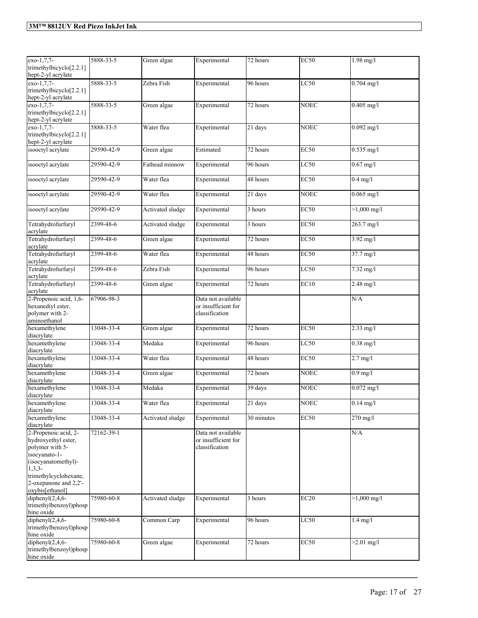| exo-1,7,7-<br>trimethylbicyclo[2.2.1]<br>hept-2-yl acrylate                                                                                                                             | 5888-33-5  | Green algae      | Experimental                                                | 72 hours              | <b>EC50</b> | $1.98$ mg/l           |
|-----------------------------------------------------------------------------------------------------------------------------------------------------------------------------------------|------------|------------------|-------------------------------------------------------------|-----------------------|-------------|-----------------------|
| exo-1,7,7-<br>trimethylbicyclo[2.2.1]<br>hept-2-yl acrylate                                                                                                                             | 5888-33-5  | Zebra Fish       | Experimental                                                | 96 hours              | LC50        | $0.704$ mg/l          |
| exo-1.7.7-<br>trimethylbicyclo[2.2.1]<br>hept-2-yl acrylate                                                                                                                             | 5888-33-5  | Green algae      | Experimental                                                | 72 hours              | <b>NOEC</b> | $0.405$ mg/l          |
| exo-1,7,7-<br>trimethylbicyclo[2.2.1]<br>hept-2-yl acrylate                                                                                                                             | 5888-33-5  | Water flea       | Experimental                                                | 21 days               | <b>NOEC</b> | $0.092$ mg/l          |
| isooctyl acrylate                                                                                                                                                                       | 29590-42-9 | Green algae      | Estimated                                                   | 72 hours              | <b>EC50</b> | $0.535$ mg/l          |
| isooctyl acrylate                                                                                                                                                                       | 29590-42-9 | Fathead minnow   | Experimental                                                | 96 hours              | LC50        | $0.67$ mg/l           |
| isooctyl acrylate                                                                                                                                                                       | 29590-42-9 | Water flea       | Experimental                                                | 48 hours              | <b>EC50</b> | $0.4$ mg/l            |
| isooctyl acrylate                                                                                                                                                                       | 29590-42-9 | Water flea       | Experimental                                                | 21 days               | <b>NOEC</b> | $0.065$ mg/l          |
| isooctyl acrylate                                                                                                                                                                       | 29590-42-9 | Activated sludge | Experimental                                                | 3 hours               | <b>EC50</b> | $>1,000$ mg/l         |
| Tetrahydrofurfuryl<br>acrylate                                                                                                                                                          | 2399-48-6  | Activated sludge | Experimental                                                | 3 hours               | <b>EC50</b> | 263.7 mg/l            |
| Tetrahydrofurfuryl<br>acrylate                                                                                                                                                          | 2399-48-6  | Green algae      | Experimental                                                | 72 hours              | EC50        | $3.92 \text{ mg/l}$   |
| Tetrahydrofurfuryl<br>acrylate                                                                                                                                                          | 2399-48-6  | Water flea       | Experimental                                                | 48 hours              | <b>EC50</b> | 37.7 mg/l             |
| Tetrahydrofurfuryl<br>acrylate                                                                                                                                                          | 2399-48-6  | Zebra Fish       | Experimental                                                | 96 hours              | LC50        | 7.32 mg/l             |
| Tetrahydrofurfuryl<br>acrylate                                                                                                                                                          | 2399-48-6  | Green algae      | Experimental                                                | 72 hours              | EC10        | $2.48$ mg/l           |
| 2-Propenoic acid, 1,6-<br>hexanediyl ester,<br>polymer with 2-                                                                                                                          | 67906-98-3 |                  | Data not available<br>or insufficient for<br>classification |                       |             | N/A                   |
| aminoethanol<br>hexamethylene<br>diacrylate                                                                                                                                             | 13048-33-4 | Green algae      | Experimental                                                | $\overline{72}$ hours | <b>EC50</b> | $2.33$ mg/l           |
| hexamethylene<br>diacrylate                                                                                                                                                             | 13048-33-4 | Medaka           | Experimental                                                | 96 hours              | LC50        | $0.38$ mg/l           |
| hexamethylene<br>diacrylate                                                                                                                                                             | 13048-33-4 | Water flea       | Experimental                                                | 48 hours              | <b>EC50</b> | $2.7 \text{ mg/l}$    |
| hexamethylene<br>diacrylate                                                                                                                                                             | 13048-33-4 | Green algae      | Experimental                                                | 72 hours              | <b>NOEC</b> | $0.9$ mg/l            |
| hexamethylene<br>diacrylate                                                                                                                                                             | 13048-33-4 | Medaka           | Experimental                                                | 39 days               | <b>NOEC</b> | $0.072$ mg/l          |
| hexamethylene<br>diacrylate                                                                                                                                                             | 13048-33-4 | Water flea       | Experimental                                                | $\overline{21}$ days  | <b>NOEC</b> | $\sqrt{0.14}$ mg/l    |
| hexamethylene<br>diacrylate                                                                                                                                                             | 13048-33-4 | Activated sludge | Experimental                                                | 30 minutes            | EC50        | $270$ mg/l            |
| 2-Propenoic acid, 2-<br>hydroxyethyl ester,<br>polymer with 5-<br>isocyanato-1-<br>(isocyanatomethyl)-<br>$1,3,3-$<br>trimethylcyclohexane,<br>2-oxepanone and 2,2'-<br>oxybis[ethanol] | 72162-39-1 |                  | Data not available<br>or insufficient for<br>classification |                       |             | N/A                   |
| diphenyl $(2,4,6-$<br>trimethylbenzoyl)phosp<br>hine oxide                                                                                                                              | 75980-60-8 | Activated sludge | Experimental                                                | 3 hours               | EC20        | $>1,000 \text{ mg/l}$ |
| diphenyl $(2,4,6-$<br>trimethylbenzoyl)phosp<br>hine oxide                                                                                                                              | 75980-60-8 | Common Carp      | Experimental                                                | 96 hours              | LC50        | $1.4$ mg/l            |
| diphenyl $(2,4,6$ -<br>trimethylbenzoyl)phosp<br>hine oxide                                                                                                                             | 75980-60-8 | Green algae      | Experimental                                                | 72 hours              | EC50        | $>2.01$ mg/l          |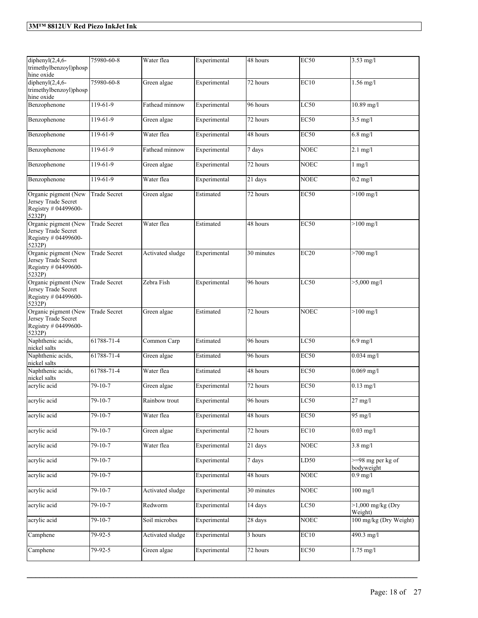| diphenyl $(2,4,6$ -<br>trimethylbenzoyl)phosp<br>hine oxide                   | 75980-60-8               | Water flea       | Experimental | 48 hours   | <b>EC50</b> | $3.53$ mg/l                             |
|-------------------------------------------------------------------------------|--------------------------|------------------|--------------|------------|-------------|-----------------------------------------|
| diphenyl $(2, 4, 6$ -<br>trimethylbenzoyl)phosp<br>hine oxide                 | 75980-60-8               | Green algae      | Experimental | 72 hours   | EC10        | $1.56$ mg/l                             |
| Benzophenone                                                                  | 119-61-9                 | Fathead minnow   | Experimental | 96 hours   | LC50        | $10.89$ mg/l                            |
| Benzophenone                                                                  | 119-61-9                 | Green algae      | Experimental | 72 hours   | <b>EC50</b> | $3.5 \overline{\mathrm{mg}/\mathrm{l}}$ |
| Benzophenone                                                                  | 119-61-9                 | Water flea       | Experimental | 48 hours   | <b>EC50</b> | $6.8$ mg/l                              |
| Benzophenone                                                                  | 119-61-9                 | Fathead minnow   | Experimental | 7 days     | <b>NOEC</b> | $2.1$ mg/l                              |
| Benzophenone                                                                  | 119-61-9                 | Green algae      | Experimental | 72 hours   | <b>NOEC</b> | $1$ mg/ $1$                             |
| Benzophenone                                                                  | 119-61-9                 | Water flea       | Experimental | 21 days    | <b>NOEC</b> | $0.2$ mg/l                              |
| Organic pigment (New<br>Jersey Trade Secret<br>Registry # 04499600-<br>5232P) | <b>Trade Secret</b>      | Green algae      | Estimated    | 72 hours   | <b>EC50</b> | $>100$ mg/l                             |
| Organic pigment (New<br>Jersey Trade Secret<br>Registry # 04499600-<br>5232P) | <b>Trade Secret</b>      | Water flea       | Estimated    | 48 hours   | <b>EC50</b> | $>100$ mg/l                             |
| Organic pigment (New<br>Jersey Trade Secret<br>Registry # 04499600-<br>5232P) | <b>Trade Secret</b>      | Activated sludge | Experimental | 30 minutes | EC20        | $>700$ mg/l                             |
| Organic pigment (New<br>Jersey Trade Secret<br>Registry # 04499600-<br>5232P) | Trade Secret             | Zebra Fish       | Experimental | 96 hours   | LC50        | $>5,000$ mg/l                           |
| Organic pigment (New<br>Jersey Trade Secret<br>Registry # 04499600-<br>5232P) | <b>Trade Secret</b>      | Green algae      | Estimated    | 72 hours   | <b>NOEC</b> | $>100$ mg/l                             |
| Naphthenic acids,<br>nickel salts                                             | 61788-71-4               | Common Carp      | Estimated    | 96 hours   | LC50        | $6.9$ mg/l                              |
| Naphthenic acids,<br>nickel salts                                             | 61788-71-4               | Green algae      | Estimated    | 96 hours   | <b>EC50</b> | $0.034$ mg/l                            |
| Naphthenic acids,<br>nickel salts                                             | 61788-71-4               | Water flea       | Estimated    | 48 hours   | <b>EC50</b> | $0.069$ mg/l                            |
| acrylic acid                                                                  | 79-10-7                  | Green algae      | Experimental | 72 hours   | <b>EC50</b> | $0.13$ mg/l                             |
| acrylic acid                                                                  | $\overline{79} - 10 - 7$ | Rainbow trout    | Experimental | 96 hours   | LC50        | $27 \text{ mg/l}$                       |
| acrylic acid                                                                  | $79 - 10 - 7$            | Water flea       | Experimental | 48 hours   | EC50        | $95 \text{ mg/l}$                       |
| acrylic acid                                                                  | $79 - 10 - 7$            | Green algae      | Experimental | 72 hours   | EC10        | $0.03$ mg/l                             |
| acrylic acid                                                                  | $79 - 10 - 7$            | Water flea       | Experimental | 21 days    | <b>NOEC</b> | $3.8$ mg/l                              |
| acrylic acid                                                                  | $79-10-7$                |                  | Experimental | 7 days     | LD50        | $\geq$ =98 mg per kg of<br>bodyweight   |
| acrylic acid                                                                  | $79 - 10 - 7$            |                  | Experimental | 48 hours   | <b>NOEC</b> | $0.9$ mg/l                              |
| acrylic acid                                                                  | $79-10-7$                | Activated sludge | Experimental | 30 minutes | <b>NOEC</b> | $100$ mg/l                              |
| acrylic acid                                                                  | $79 - 10 - 7$            | Redworm          | Experimental | 14 days    | LC50        | $>1,000$ mg/kg (Dry<br>Weight)          |
| acrylic acid                                                                  | $79 - 10 - 7$            | Soil microbes    | Experimental | 28 days    | <b>NOEC</b> | 100 mg/kg (Dry Weight)                  |
| Camphene                                                                      | 79-92-5                  | Activated sludge | Experimental | 3 hours    | EC10        | 490.3 mg/l                              |
| Camphene                                                                      | $79-92-5$                | Green algae      | Experimental | 72 hours   | EC50        | $1.75$ mg/l                             |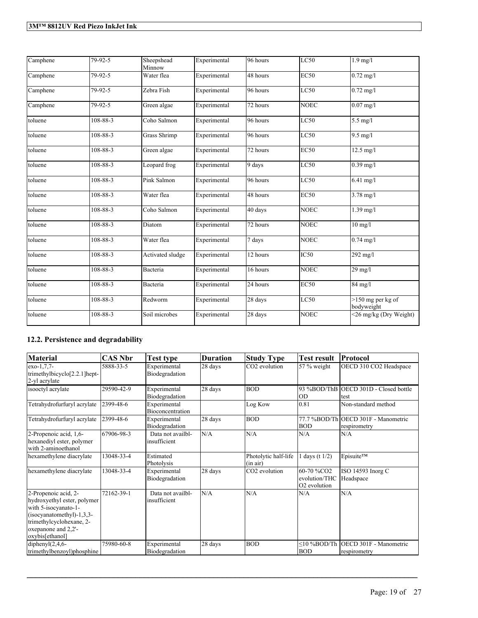| Camphene | 79-92-5        | Sheepshead<br>Minnow | Experimental | 96 hours | LC50        | $1.9$ mg/l                        |
|----------|----------------|----------------------|--------------|----------|-------------|-----------------------------------|
| Camphene | 79-92-5        | Water flea           | Experimental | 48 hours | EC50        | $0.72$ mg/l                       |
| Camphene | 79-92-5        | Zebra Fish           | Experimental | 96 hours | LC50        | $0.72$ mg/l                       |
| Camphene | 79-92-5        | Green algae          | Experimental | 72 hours | <b>NOEC</b> | $0.07$ mg/l                       |
| toluene  | 108-88-3       | Coho Salmon          | Experimental | 96 hours | LC50        | $5.5$ mg/l                        |
| toluene  | 108-88-3       | <b>Grass Shrimp</b>  | Experimental | 96 hours | LC50        | $9.5 \text{ mg/l}$                |
| toluene  | 108-88-3       | Green algae          | Experimental | 72 hours | EC50        | $12.5 \text{ mg}/1$               |
| toluene  | 108-88-3       | Leopard frog         | Experimental | 9 days   | LC50        | $0.39$ mg/l                       |
| toluene  | $108 - 88 - 3$ | Pink Salmon          | Experimental | 96 hours | LC50        | $6.41$ mg/l                       |
| toluene  | 108-88-3       | Water flea           | Experimental | 48 hours | EC50        | $3.78$ mg/l                       |
| toluene  | 108-88-3       | Coho Salmon          | Experimental | 40 days  | <b>NOEC</b> | $1.39$ mg/l                       |
| toluene  | 108-88-3       | Diatom               | Experimental | 72 hours | <b>NOEC</b> | $10$ mg/l                         |
| toluene  | 108-88-3       | Water flea           | Experimental | 7 days   | <b>NOEC</b> | $0.74$ mg/l                       |
| toluene  | 108-88-3       | Activated sludge     | Experimental | 12 hours | IC50        | $292$ mg/l                        |
| toluene  | 108-88-3       | Bacteria             | Experimental | 16 hours | <b>NOEC</b> | $29$ mg/l                         |
| toluene  | 108-88-3       | Bacteria             | Experimental | 24 hours | EC50        | 84 mg/l                           |
| toluene  | 108-88-3       | Redworm              | Experimental | 28 days  | LC50        | $>150$ mg per kg of<br>bodyweight |
| toluene  | 108-88-3       | Soil microbes        | Experimental | 28 days  | <b>NOEC</b> | <26 mg/kg (Dry Weight)            |

## **12.2. Persistence and degradability**

| <b>Material</b>                                                                                                                                                                | <b>CAS Nbr</b> | Test type                               | <b>Duration</b> | <b>Study Type</b>                | <b>Test result</b>                                      | Protocol                                            |
|--------------------------------------------------------------------------------------------------------------------------------------------------------------------------------|----------------|-----------------------------------------|-----------------|----------------------------------|---------------------------------------------------------|-----------------------------------------------------|
| $exo-1,7,7-$<br>trimethylbicyclo[2.2.1]hept-<br>2-yl acrylate                                                                                                                  | 5888-33-5      | Experimental<br>Biodegradation          | 28 days         | CO <sub>2</sub> evolution        | 57 % weight                                             | OECD 310 CO2 Headspace                              |
| isooctyl acrylate                                                                                                                                                              | 29590-42-9     | Experimental<br>Biodegradation          | 28 days         | <b>BOD</b>                       | IOD                                                     | 93 %BOD/ThB OECD 301D - Closed bottle<br>Itest      |
| Tetrahydrofurfuryl acrylate                                                                                                                                                    | 2399-48-6      | Experimental<br><b>Bioconcentration</b> |                 | Log Kow                          | 0.81                                                    | Non-standard method                                 |
| Tetrahydrofurfuryl acrylate                                                                                                                                                    | 2399-48-6      | Experimental<br>Biodegradation          | 28 days         | <b>BOD</b>                       | <b>BOD</b>                                              | 77.7 %BOD/Th OECD 301F - Manometric<br>respirometry |
| 2-Propenoic acid, 1,6-<br>hexanediyl ester, polymer<br>with 2-aminoethanol                                                                                                     | 67906-98-3     | Data not availbl-<br>insufficient       | N/A             | N/A                              | N/A                                                     | N/A                                                 |
| hexamethylene diacrylate                                                                                                                                                       | 13048-33-4     | Estimated<br>Photolysis                 |                 | Photolytic half-life<br>(in air) | days (t $1/2$ )                                         | Episuite™                                           |
| hexamethylene diacrylate                                                                                                                                                       | 13048-33-4     | Experimental<br>Biodegradation          | 28 days         | CO <sub>2</sub> evolution        | 60-70 %CO2<br>evolution/THC<br>O <sub>2</sub> evolution | ISO 14593 Inorg C<br>Headspace                      |
| 2-Propenoic acid, 2-<br>hydroxyethyl ester, polymer<br>with 5-isocyanato-1-<br>(isocyanatomethyl)-1,3,3-<br>trimethylcyclohexane, 2-<br>oxepanone and 2.2'-<br>oxybis[ethanol] | 72162-39-1     | Data not availbl-<br>insufficient       | N/A             | N/A                              | N/A                                                     | N/A                                                 |
| diphenyl $(2,4,6-$<br>trimethylbenzoyl)phosphine                                                                                                                               | 75980-60-8     | Experimental<br>Biodegradation          | 28 days         | <b>BOD</b>                       | $\leq$ 10 %BOD/Th<br><b>BOD</b>                         | <b>IOECD 301F - Manometric</b><br>respirometry      |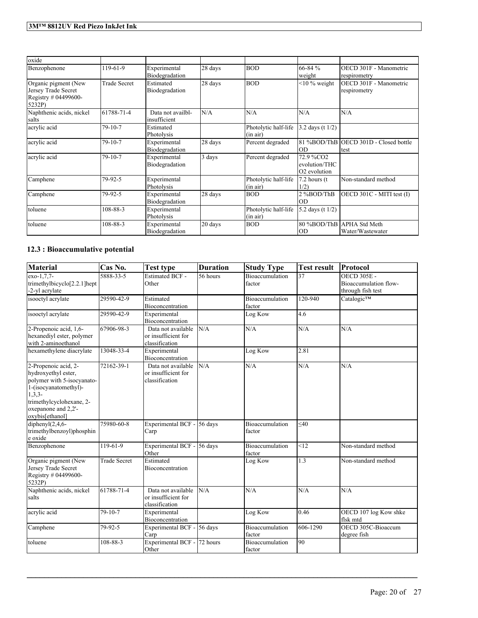| oxide                                                                         |                     |                                   |         |                                  |                                            |                                                |
|-------------------------------------------------------------------------------|---------------------|-----------------------------------|---------|----------------------------------|--------------------------------------------|------------------------------------------------|
| Benzophenone                                                                  | $19-61-9$           | Experimental<br>Biodegradation    | 28 days | <b>BOD</b>                       | $66 - 84 %$<br>weight                      | OECD 301F - Manometric<br>respirometry         |
| Organic pigment (New<br>Jersey Trade Secret<br>Registry # 04499600-<br>5232P) | <b>Trade Secret</b> | Estimated<br>Biodegradation       | 28 days | <b>BOD</b>                       | $<$ 10 % weight                            | OECD 301F - Manometric<br>respirometry         |
| Naphthenic acids, nickel<br>salts                                             | 61788-71-4          | Data not availbl-<br>insufficient | N/A     | N/A                              | N/A                                        | N/A                                            |
| acrylic acid                                                                  | $79-10-7$           | Estimated<br>Photolysis           |         | Photolytic half-life<br>(in air) | 3.2 days (t $1/2$ )                        |                                                |
| acrylic acid                                                                  | $79 - 10 - 7$       | Experimental<br>Biodegradation    | 28 days | Percent degraded                 | IOD                                        | 81 %BOD/ThB OECD 301D - Closed bottle<br>Itest |
| acrylic acid                                                                  | $79 - 10 - 7$       | Experimental<br>Biodegradation    | 3 days  | Percent degraded                 | 72.9 %CO2<br>evolution/THC<br>O2 evolution |                                                |
| Camphene                                                                      | 79-92-5             | Experimental<br>Photolysis        |         | Photolytic half-life<br>(in air) | $7.2$ hours (t)<br>1/2)                    | Non-standard method                            |
| Camphene                                                                      | 79-92-5             | Experimental<br>Biodegradation    | 28 days | <b>BOD</b>                       | 2%BOD/ThB<br>IOD                           | OECD 301C - MITI test (I)                      |
| toluene                                                                       | 108-88-3            | Experimental<br>Photolysis        |         | Photolytic half-life<br>(in air) | 5.2 days (t 1/2)                           |                                                |
| toluene                                                                       | 108-88-3            | Experimental<br>Biodegradation    | 20 days | <b>BOD</b>                       | lod                                        | 80 %BOD/ThB APHA Std Meth<br>Water/Wastewater  |

## **12.3 : Bioaccumulative potential**

| <b>Material</b>                                                                                                                                                                         | Cas No.             | <b>Test type</b>                                            | <b>Duration</b> | <b>Study Type</b>                | <b>Test result</b> | Protocol                                                         |
|-----------------------------------------------------------------------------------------------------------------------------------------------------------------------------------------|---------------------|-------------------------------------------------------------|-----------------|----------------------------------|--------------------|------------------------------------------------------------------|
| exo-1.7.7-<br>trimethylbicyclo <sup>[2.2.1]</sup> hept<br>-2-yl acrylate                                                                                                                | 5888-33-5           | <b>Estimated BCF -</b><br>Other                             | 56 hours        | <b>Bioaccumulation</b><br>factor | 37                 | <b>OECD 305E -</b><br>Bioaccumulation flow-<br>through fish test |
| isooctyl acrylate                                                                                                                                                                       | 29590-42-9          | Estimated<br>Bioconcentration                               |                 | Bioaccumulation<br>factor        | 120-940            | Catalogic™                                                       |
| isooctyl acrylate                                                                                                                                                                       | 29590-42-9          | Experimental<br>Bioconcentration                            |                 | Log Kow                          | 4.6                |                                                                  |
| 2-Propenoic acid, 1,6-<br>hexanediyl ester, polymer<br>with 2-aminoethanol                                                                                                              | 67906-98-3          | Data not available<br>or insufficient for<br>classification | N/A             | N/A                              | N/A                | N/A                                                              |
| hexamethylene diacrylate                                                                                                                                                                | 13048-33-4          | Experimental<br>Bioconcentration                            |                 | Log Kow                          | 2.81               |                                                                  |
| 2-Propenoic acid, 2-<br>hydroxyethyl ester,<br>polymer with 5-isocyanato-<br>1-(isocyanatomethyl)-<br>$1, 3, 3$ -<br>trimethylcyclohexane, 2-<br>oxepanone and 2,2'-<br>oxybis[ethanol] | 72162-39-1          | Data not available<br>or insufficient for<br>classification | N/A             | N/A                              | N/A                | N/A                                                              |
| diphenyl $(2,4,6-$<br>trimethylbenzoyl)phosphin<br>e oxide                                                                                                                              | 75980-60-8          | Experimental BCF -<br>Carp                                  | 56 days         | Bioaccumulation<br>factor        | $<$ 40             |                                                                  |
| Benzophenone                                                                                                                                                                            | 119-61-9            | Experimental BCF -<br>Other                                 | 56 days         | Bioaccumulation<br>factor        | < 12               | Non-standard method                                              |
| Organic pigment (New<br>Jersey Trade Secret<br>Registry # 04499600-<br>5232P)                                                                                                           | <b>Trade Secret</b> | Estimated<br>Bioconcentration                               |                 | Log Kow                          | 1.3                | Non-standard method                                              |
| Naphthenic acids, nickel<br>salts                                                                                                                                                       | 61788-71-4          | Data not available<br>or insufficient for<br>classification | N/A             | N/A                              | N/A                | N/A                                                              |
| acrylic acid                                                                                                                                                                            | $79 - 10 - 7$       | Experimental<br>Bioconcentration                            |                 | Log Kow                          | 0.46               | OECD 107 log Kow shke<br>flsk mtd                                |
| Camphene                                                                                                                                                                                | 79-92-5             | Experimental BCF -<br>Carp                                  | 56 days         | Bioaccumulation<br>factor        | 606-1290           | OECD 305C-Bioaccum<br>degree fish                                |
| toluene                                                                                                                                                                                 | 108-88-3            | Experimental BCF -<br>Other                                 | 72 hours        | Bioaccumulation<br>factor        | 90                 |                                                                  |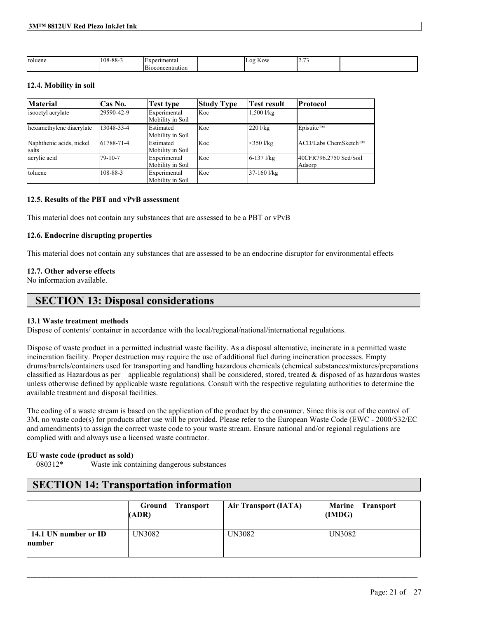| toluene<br>. | $\Omega$<br>$\Omega$<br>-00-00- | erimenta.            | KOW<br>$\Omega$ | $\overline{\phantom{0}}$<br>∽<br>. |  |
|--------------|---------------------------------|----------------------|-----------------|------------------------------------|--|
|              |                                 | beoncentration<br>װר |                 |                                    |  |

### **12.4. Mobility in soil**

| <b>Material</b>                   | Cas No.       | <b>Test type</b>                     | <b>Study Type</b> | Test result    | <b>Protocol</b>                  |
|-----------------------------------|---------------|--------------------------------------|-------------------|----------------|----------------------------------|
| isooctyl acrylate                 | 29590-42-9    | Experimental<br>Mobility in Soil     | Koc               | $1,500$ $1/kg$ |                                  |
| hexamethylene diacrylate          | 13048-33-4    | Estimated<br>Mobility in Soil        | Koc               | $220$ l/kg     | Episuite™                        |
| Naphthenic acids, nickel<br>salts | 61788-71-4    | <b>Estimated</b><br>Mobility in Soil | Koc               | $<$ 350 l/kg   | ACD/Labs ChemSketch™             |
| acrylic acid                      | $79 - 10 - 7$ | Experimental<br>Mobility in Soil     | Koc               | $6-137$ $1/kg$ | 40CFR796.2750 Sed/Soil<br>Adsorp |
| toluene                           | 108-88-3      | Experimental<br>Mobility in Soil     | Koc               | 37-160 l/kg    |                                  |

#### **12.5. Results of the PBT and vPvB assessment**

This material does not contain any substances that are assessed to be a PBT or vPvB

### **12.6. Endocrine disrupting properties**

This material does not contain any substances that are assessed to be an endocrine disruptor for environmental effects

### **12.7. Other adverse effects**

No information available.

## **SECTION 13: Disposal considerations**

## **13.1 Waste treatment methods**

Dispose of contents/ container in accordance with the local/regional/national/international regulations.

Dispose of waste product in a permitted industrial waste facility. As a disposal alternative, incinerate in a permitted waste incineration facility. Proper destruction may require the use of additional fuel during incineration processes. Empty drums/barrels/containers used for transporting and handling hazardous chemicals (chemical substances/mixtures/preparations classified as Hazardous as per applicable regulations) shall be considered, stored, treated  $\&$  disposed of as hazardous wastes unless otherwise defined by applicable waste regulations. Consult with the respective regulating authorities to determine the available treatment and disposal facilities.

The coding of a waste stream is based on the application of the product by the consumer. Since this is out of the control of 3M, no waste code(s) for products after use will be provided. Please refer to the European Waste Code (EWC - 2000/532/EC and amendments) to assign the correct waste code to your waste stream. Ensure national and/or regional regulations are complied with and always use a licensed waste contractor.

## **EU waste code (product as sold)**

080312\* Waste ink containing dangerous substances

# **SECTION 14: Transportation information**

|                                | <b>Ground Transport</b><br>(ADR) | <b>Air Transport (IATA)</b> | Marine Transport<br>(IMDG) |
|--------------------------------|----------------------------------|-----------------------------|----------------------------|
| 14.1 UN number or ID<br>number | UN3082                           | UN3082                      | UN3082                     |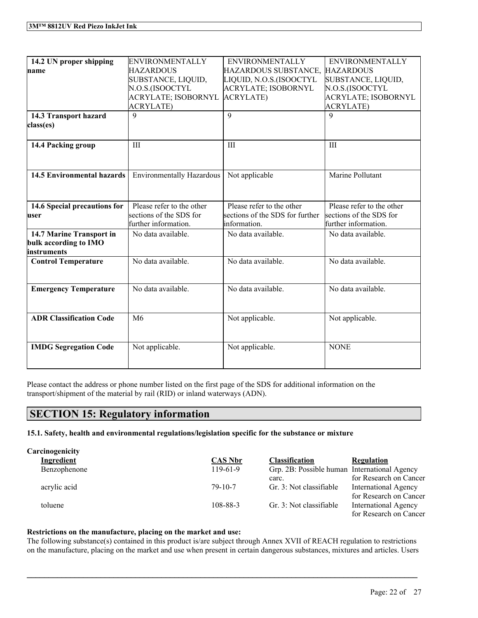| 14.2 UN proper shipping           | <b>ENVIRONMENTALLY</b>           | <b>ENVIRONMENTALLY</b>          | <b>ENVIRONMENTALLY</b>     |
|-----------------------------------|----------------------------------|---------------------------------|----------------------------|
| name                              | HAZARDOUS                        | HAZARDOUS SUBSTANCE, HAZARDOUS  |                            |
|                                   | SUBSTANCE, LIQUID,               | LIQUID, N.O.S.(ISOOCTYL         | SUBSTANCE, LIQUID,         |
|                                   | N.O.S.(ISOOCTYL                  | <b>ACRYLATE; ISOBORNYL</b>      | N.O.S.(ISOOCTYL            |
|                                   | <b>ACRYLATE; ISOBORNYL</b>       | <b>ACRYLATE</b> )               | <b>ACRYLATE; ISOBORNYL</b> |
|                                   | <b>ACRYLATE)</b>                 |                                 | <b>ACRYLATE)</b>           |
| 14.3 Transport hazard             | $\mathbf Q$                      | 9                               | 9                          |
| class(es)                         |                                  |                                 |                            |
|                                   |                                  |                                 |                            |
| 14.4 Packing group                | III                              | III                             | Ш                          |
|                                   |                                  |                                 |                            |
|                                   |                                  |                                 |                            |
| <b>14.5 Environmental hazards</b> | <b>Environmentally Hazardous</b> | Not applicable                  | Marine Pollutant           |
|                                   |                                  |                                 |                            |
|                                   |                                  |                                 |                            |
| 14.6 Special precautions for      | Please refer to the other        | Please refer to the other       | Please refer to the other  |
| user                              | sections of the SDS for          | sections of the SDS for further | sections of the SDS for    |
|                                   | further information.             | information.                    | further information.       |
| 14.7 Marine Transport in          | No data available.               | No data available.              | No data available.         |
| bulk according to IMO             |                                  |                                 |                            |
| instruments                       |                                  |                                 |                            |
| <b>Control Temperature</b>        | No data available.               | No data available.              | No data available.         |
|                                   |                                  |                                 |                            |
|                                   |                                  |                                 |                            |
| <b>Emergency Temperature</b>      | No data available.               | No data available.              | No data available.         |
|                                   |                                  |                                 |                            |
|                                   |                                  |                                 |                            |
| <b>ADR Classification Code</b>    | M6                               | Not applicable.                 | Not applicable.            |
|                                   |                                  |                                 |                            |
|                                   |                                  |                                 |                            |
| <b>IMDG Segregation Code</b>      | Not applicable.                  | Not applicable.                 | <b>NONE</b>                |
|                                   |                                  |                                 |                            |
|                                   |                                  |                                 |                            |

Please contact the address or phone number listed on the first page of the SDS for additional information on the transport/shipment of the material by rail (RID) or inland waterways (ADN).

# **SECTION 15: Regulatory information**

**15.1. Safety, health and environmental regulations/legislation specific for the substance or mixture**

| Carcinogenicity |                |                                              |                             |
|-----------------|----------------|----------------------------------------------|-----------------------------|
| Ingredient      | <b>CAS Nbr</b> | <b>Classification</b>                        | <b>Regulation</b>           |
| Benzophenone    | $119-61-9$     | Grp. 2B: Possible human International Agency |                             |
|                 |                | carc.                                        | for Research on Cancer      |
| acrylic acid    | $79-10-7$      | Gr. 3: Not classifiable                      | <b>International Agency</b> |
|                 |                |                                              | for Research on Cancer      |
| toluene         | 108-88-3       | Gr. 3: Not classifiable                      | <b>International Agency</b> |
|                 |                |                                              | for Research on Cancer      |

## **Restrictions on the manufacture, placing on the market and use:**

The following substance(s) contained in this product is/are subject through Annex XVII of REACH regulation to restrictions on the manufacture, placing on the market and use when present in certain dangerous substances, mixtures and articles. Users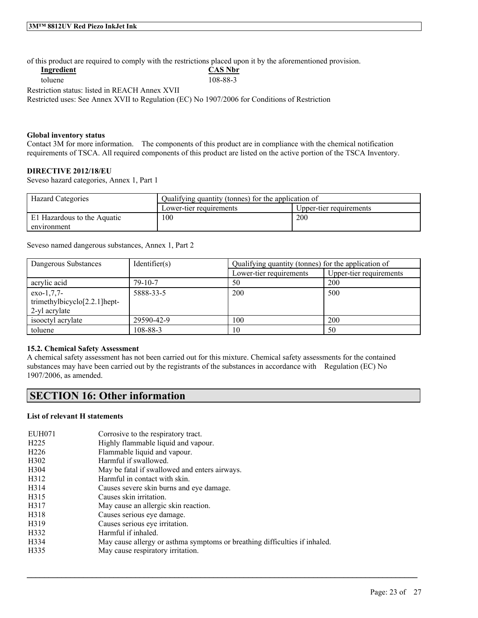of this product are required to comply with the restrictions placed upon it by the aforementioned provision.

|                                                | of this product are required to comply with the restrictions placed apon it of the arcrementioned pro |
|------------------------------------------------|-------------------------------------------------------------------------------------------------------|
| Ingredient                                     | <b>CAS Nbr</b>                                                                                        |
| toluene                                        | 108-88-3                                                                                              |
| Restriction status: listed in REACH Annex XVII |                                                                                                       |
|                                                | Restricted uses: See Annex XVII to Regulation (EC) No 1907/2006 for Conditions of Restriction         |
|                                                |                                                                                                       |

### **Global inventory status**

Contact 3M for more information. The components of this product are in compliance with the chemical notification requirements of TSCA. All required components of this product are listed on the active portion of the TSCA Inventory.

### **DIRECTIVE 2012/18/EU**

Seveso hazard categories, Annex 1, Part 1

| <b>Hazard Categories</b>    | Qualifying quantity (tonnes) for the application of |                         |
|-----------------------------|-----------------------------------------------------|-------------------------|
|                             | Lower-tier requirements                             | Upper-tier requirements |
| El Hazardous to the Aquatic | 100                                                 | 200                     |
| environment                 |                                                     |                         |

Seveso named dangerous substances, Annex 1, Part 2

| Dangerous Substances                                                       | Identifier(s) | Qualifying quantity (tonnes) for the application of |                         |
|----------------------------------------------------------------------------|---------------|-----------------------------------------------------|-------------------------|
|                                                                            |               | Lower-tier requirements                             | Upper-tier requirements |
| acrylic acid                                                               | $79 - 10 - 7$ | 50                                                  | 200                     |
| $exo-1,7,7-$<br>trimethylbicyclo <sup>[2.2.1]</sup> hept-<br>2-yl acrylate | 5888-33-5     | 200                                                 | 500                     |
| isoletyl acrylate                                                          | 29590-42-9    | 100                                                 | 200                     |
| toluene                                                                    | 108-88-3      | 10                                                  | 50                      |

### **15.2. Chemical Safety Assessment**

A chemical safety assessment has not been carried out for this mixture. Chemical safety assessments for the contained substances may have been carried out by the registrants of the substances in accordance with Regulation (EC) No 1907/2006, as amended.

 $\mathcal{L}_\mathcal{L} = \mathcal{L}_\mathcal{L} = \mathcal{L}_\mathcal{L} = \mathcal{L}_\mathcal{L} = \mathcal{L}_\mathcal{L} = \mathcal{L}_\mathcal{L} = \mathcal{L}_\mathcal{L} = \mathcal{L}_\mathcal{L} = \mathcal{L}_\mathcal{L} = \mathcal{L}_\mathcal{L} = \mathcal{L}_\mathcal{L} = \mathcal{L}_\mathcal{L} = \mathcal{L}_\mathcal{L} = \mathcal{L}_\mathcal{L} = \mathcal{L}_\mathcal{L} = \mathcal{L}_\mathcal{L} = \mathcal{L}_\mathcal{L}$ 

# **SECTION 16: Other information**

### **List of relevant H statements**

| EUH071            | Corrosive to the respiratory tract.                                        |
|-------------------|----------------------------------------------------------------------------|
| H <sub>225</sub>  | Highly flammable liquid and vapour.                                        |
| H <sub>226</sub>  | Flammable liquid and vapour.                                               |
| H <sub>3</sub> 02 | Harmful if swallowed.                                                      |
| H304              | May be fatal if swallowed and enters airways.                              |
| H312              | Harmful in contact with skin.                                              |
| H314              | Causes severe skin burns and eye damage.                                   |
| H315              | Causes skin irritation.                                                    |
| H317              | May cause an allergic skin reaction.                                       |
| H318              | Causes serious eye damage.                                                 |
| H319              | Causes serious eye irritation.                                             |
| H332              | Harmful if inhaled.                                                        |
| H334              | May cause allergy or asthma symptoms or breathing difficulties if inhaled. |
| H335              | May cause respiratory irritation.                                          |
|                   |                                                                            |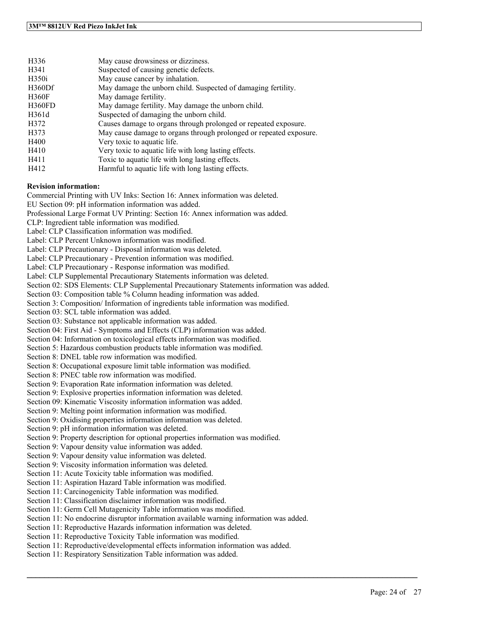| H336         | May cause drowsiness or dizziness.                                 |
|--------------|--------------------------------------------------------------------|
| H341         | Suspected of causing genetic defects.                              |
| H350i        | May cause cancer by inhalation.                                    |
| H360Df       | May damage the unborn child. Suspected of damaging fertility.      |
| <b>H360F</b> | May damage fertility.                                              |
| H360FD       | May damage fertility. May damage the unborn child.                 |
| H361d        | Suspected of damaging the unborn child.                            |
| H372         | Causes damage to organs through prolonged or repeated exposure.    |
| H373         | May cause damage to organs through prolonged or repeated exposure. |
| H400         | Very toxic to aquatic life.                                        |
| H410         | Very toxic to aquatic life with long lasting effects.              |
| H411         | Toxic to aquatic life with long lasting effects.                   |
| H412         | Harmful to aquatic life with long lasting effects.                 |
|              |                                                                    |

#### **Revision information:**

Commercial Printing with UV Inks: Section 16: Annex information was deleted.

EU Section 09: pH information information was added.

Professional Large Format UV Printing: Section 16: Annex information was added.

CLP: Ingredient table information was modified.

Label: CLP Classification information was modified.

Label: CLP Percent Unknown information was modified.

Label: CLP Precautionary - Disposal information was deleted.

Label: CLP Precautionary - Prevention information was modified.

Label: CLP Precautionary - Response information was modified.

Label: CLP Supplemental Precautionary Statements information was deleted.

Section 02: SDS Elements: CLP Supplemental Precautionary Statements information was added.

Section 03: Composition table % Column heading information was added.

Section 3: Composition/ Information of ingredients table information was modified.

Section 03: SCL table information was added.

Section 03: Substance not applicable information was added.

Section 04: First Aid - Symptoms and Effects (CLP) information was added.

Section 04: Information on toxicological effects information was modified.

Section 5: Hazardous combustion products table information was modified.

Section 8: DNEL table row information was modified.

Section 8: Occupational exposure limit table information was modified.

Section 8: PNEC table row information was modified.

Section 9: Evaporation Rate information information was deleted.

Section 9: Explosive properties information information was deleted.

Section 09: Kinematic Viscosity information information was added.

Section 9: Melting point information information was modified.

Section 9: Oxidising properties information information was deleted.

Section 9: pH information information was deleted.

Section 9: Property description for optional properties information was modified.

Section 9: Vapour density value information was added.

Section 9: Vapour density value information was deleted.

Section 9: Viscosity information information was deleted.

Section 11: Acute Toxicity table information was modified.

Section 11: Aspiration Hazard Table information was modified.

Section 11: Carcinogenicity Table information was modified.

Section 11: Classification disclaimer information was modified.

Section 11: Germ Cell Mutagenicity Table information was modified.

Section 11: No endocrine disruptor information available warning information was added.

 $\mathcal{L}_\mathcal{L} = \mathcal{L}_\mathcal{L} = \mathcal{L}_\mathcal{L} = \mathcal{L}_\mathcal{L} = \mathcal{L}_\mathcal{L} = \mathcal{L}_\mathcal{L} = \mathcal{L}_\mathcal{L} = \mathcal{L}_\mathcal{L} = \mathcal{L}_\mathcal{L} = \mathcal{L}_\mathcal{L} = \mathcal{L}_\mathcal{L} = \mathcal{L}_\mathcal{L} = \mathcal{L}_\mathcal{L} = \mathcal{L}_\mathcal{L} = \mathcal{L}_\mathcal{L} = \mathcal{L}_\mathcal{L} = \mathcal{L}_\mathcal{L}$ 

Section 11: Reproductive Hazards information information was deleted.

Section 11: Reproductive Toxicity Table information was modified.

Section 11: Reproductive/developmental effects information information was added.

Section 11: Respiratory Sensitization Table information was added.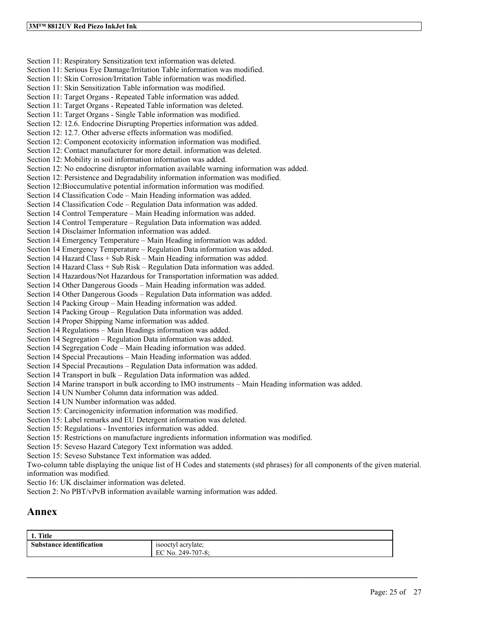Section 11: Respiratory Sensitization text information was deleted. Section 11: Serious Eye Damage/Irritation Table information was modified. Section 11: Skin Corrosion/Irritation Table information was modified. Section 11: Skin Sensitization Table information was modified. Section 11: Target Organs - Repeated Table information was added. Section 11: Target Organs - Repeated Table information was deleted. Section 11: Target Organs - Single Table information was modified. Section 12: 12.6. Endocrine Disrupting Properties information was added. Section 12: 12.7. Other adverse effects information was modified. Section 12: Component ecotoxicity information information was modified. Section 12: Contact manufacturer for more detail. information was deleted. Section 12: Mobility in soil information information was added. Section 12: No endocrine disruptor information available warning information was added. Section 12: Persistence and Degradability information information was modified. Section 12:Bioccumulative potential information information was modified. Section 14 Classification Code – Main Heading information was added. Section 14 Classification Code – Regulation Data information was added. Section 14 Control Temperature – Main Heading information was added. Section 14 Control Temperature – Regulation Data information was added. Section 14 Disclaimer Information information was added. Section 14 Emergency Temperature – Main Heading information was added. Section 14 Emergency Temperature – Regulation Data information was added. Section 14 Hazard Class + Sub Risk – Main Heading information was added. Section 14 Hazard Class + Sub Risk – Regulation Data information was added. Section 14 Hazardous/Not Hazardous for Transportation information was added. Section 14 Other Dangerous Goods – Main Heading information was added. Section 14 Other Dangerous Goods – Regulation Data information was added. Section 14 Packing Group – Main Heading information was added. Section 14 Packing Group – Regulation Data information was added. Section 14 Proper Shipping Name information was added. Section 14 Regulations – Main Headings information was added. Section 14 Segregation – Regulation Data information was added. Section 14 Segregation Code – Main Heading information was added. Section 14 Special Precautions – Main Heading information was added. Section 14 Special Precautions – Regulation Data information was added. Section 14 Transport in bulk – Regulation Data information was added. Section 14 Marine transport in bulk according to IMO instruments – Main Heading information was added. Section 14 UN Number Column data information was added. Section 14 UN Number information was added. Section 15: Carcinogenicity information information was modified. Section 15: Label remarks and EU Detergent information was deleted. Section 15: Regulations - Inventories information was added. Section 15: Restrictions on manufacture ingredients information information was modified. Section 15: Seveso Hazard Category Text information was added. Section 15: Seveso Substance Text information was added. Two-column table displaying the unique list of H Codes and statements (std phrases) for all components of the given material. information was modified.

Sectio 16: UK disclaimer information was deleted.

Section 2: No PBT/vPvB information available warning information was added.

# **Annex**

| 1. Title                        |                    |
|---------------------------------|--------------------|
| <b>Substance identification</b> | isooctyl acrylate; |
|                                 | EC No. 249-707-8:  |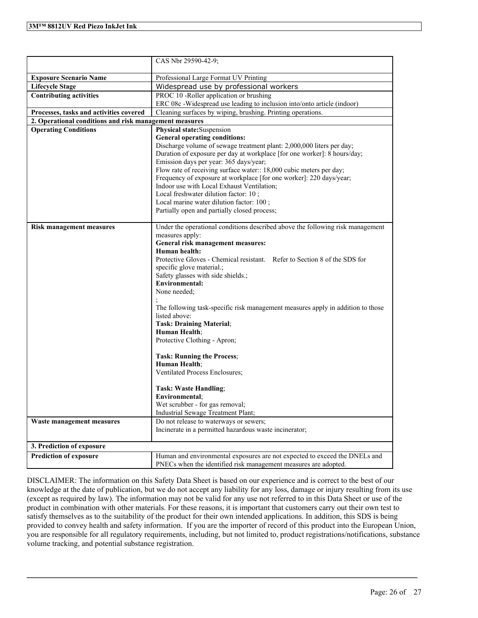|                                                        | CAS Nbr 29590-42-9;                                                                                               |
|--------------------------------------------------------|-------------------------------------------------------------------------------------------------------------------|
| <b>Exposure Scenario Name</b>                          | Professional Large Format UV Printing                                                                             |
| <b>Lifecycle Stage</b>                                 | Widespread use by professional workers                                                                            |
| <b>Contributing activities</b>                         | PROC 10 -Roller application or brushing                                                                           |
|                                                        | ERC 08c -Widespread use leading to inclusion into/onto article (indoor)                                           |
| Processes, tasks and activities covered                | Cleaning surfaces by wiping, brushing. Printing operations.                                                       |
| 2. Operational conditions and risk management measures |                                                                                                                   |
| <b>Operating Conditions</b>                            | Physical state:Suspension                                                                                         |
|                                                        | <b>General operating conditions:</b>                                                                              |
|                                                        | Discharge volume of sewage treatment plant: 2,000,000 liters per day;                                             |
|                                                        | Duration of exposure per day at workplace [for one worker]: 8 hours/day;                                          |
|                                                        | Emission days per year: 365 days/year;                                                                            |
|                                                        | Flow rate of receiving surface water:: 18,000 cubic meters per day;                                               |
|                                                        | Frequency of exposure at workplace [for one worker]: 220 days/year;<br>Indoor use with Local Exhaust Ventilation; |
|                                                        | Local freshwater dilution factor: 10;                                                                             |
|                                                        | Local marine water dilution factor: 100;                                                                          |
|                                                        | Partially open and partially closed process;                                                                      |
|                                                        |                                                                                                                   |
| <b>Risk management measures</b>                        | Under the operational conditions described above the following risk management                                    |
|                                                        | measures apply:                                                                                                   |
|                                                        | General risk management measures:                                                                                 |
|                                                        | Human health:                                                                                                     |
|                                                        | Protective Gloves - Chemical resistant. Refer to Section 8 of the SDS for                                         |
|                                                        | specific glove material.;                                                                                         |
|                                                        | Safety glasses with side shields.;<br><b>Environmental:</b>                                                       |
|                                                        | None needed:                                                                                                      |
|                                                        |                                                                                                                   |
|                                                        | The following task-specific risk management measures apply in addition to those                                   |
|                                                        | listed above:                                                                                                     |
|                                                        | <b>Task: Draining Material;</b>                                                                                   |
|                                                        | Human Health;                                                                                                     |
|                                                        | Protective Clothing - Apron;                                                                                      |
|                                                        |                                                                                                                   |
|                                                        | <b>Task: Running the Process;</b>                                                                                 |
|                                                        | Human Health;                                                                                                     |
|                                                        | Ventilated Process Enclosures;                                                                                    |
|                                                        | <b>Task: Waste Handling;</b>                                                                                      |
|                                                        | Environmental;                                                                                                    |
|                                                        | Wet scrubber - for gas removal;                                                                                   |
|                                                        | Industrial Sewage Treatment Plant;                                                                                |
| Waste management measures                              | Do not release to waterways or sewers;                                                                            |
|                                                        | Incinerate in a permitted hazardous waste incinerator;                                                            |
|                                                        |                                                                                                                   |
| 3. Prediction of exposure                              |                                                                                                                   |
| <b>Prediction of exposure</b>                          | Human and environmental exposures are not expected to exceed the DNELs and                                        |
|                                                        | PNECs when the identified risk management measures are adopted.                                                   |

DISCLAIMER: The information on this Safety Data Sheet is based on our experience and is correct to the best of our knowledge at the date of publication, but we do not accept any liability for any loss, damage or injury resulting from its use (except as required by law). The information may not be valid for any use not referred to in this Data Sheet or use of the product in combination with other materials. For these reasons, it is important that customers carry out their own test to satisfy themselves as to the suitability of the product for their own intended applications. In addition, this SDS is being provided to convey health and safety information. If you are the importer of record of this product into the European Union, you are responsible for all regulatory requirements, including, but not limited to, product registrations/notifications, substance volume tracking, and potential substance registration.